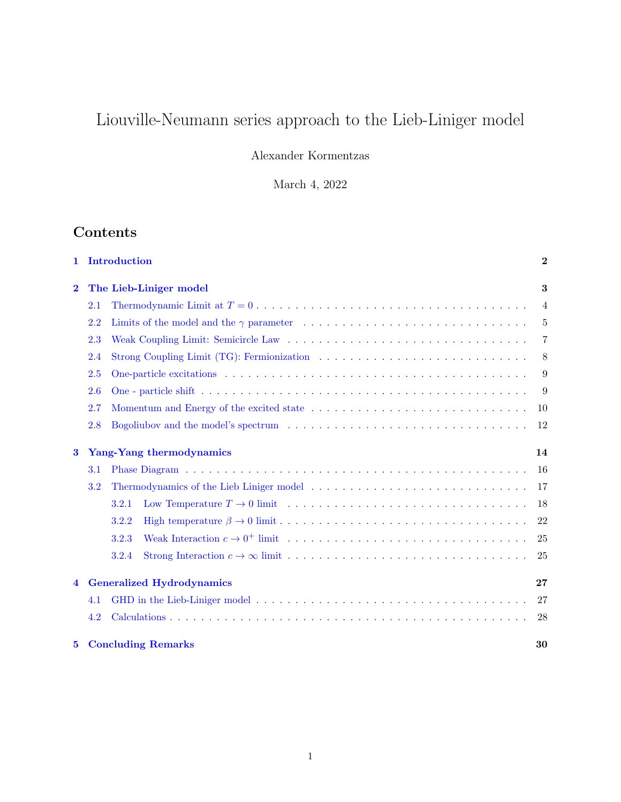# Liouville-Neumann series approach to the Lieb-Liniger model

Alexander Kormentzas

March 4, 2022

## Contents

| 1                                    | Introduction                     |                                 |                                                                                                                | $\mathbf{2}$   |  |
|--------------------------------------|----------------------------------|---------------------------------|----------------------------------------------------------------------------------------------------------------|----------------|--|
| $\overline{\mathbf{2}}$              |                                  | The Lieb-Liniger model          |                                                                                                                |                |  |
|                                      | 2.1                              |                                 |                                                                                                                | $\overline{4}$ |  |
|                                      | 2.2                              |                                 |                                                                                                                | 5              |  |
|                                      | 2.3                              |                                 |                                                                                                                | $\overline{7}$ |  |
|                                      | 2.4                              |                                 | Strong Coupling Limit (TG): Fermionization                                                                     | 8              |  |
|                                      | 2.5                              |                                 |                                                                                                                | 9              |  |
|                                      | 2.6                              |                                 |                                                                                                                | 9              |  |
|                                      | 2.7                              |                                 |                                                                                                                | 10             |  |
|                                      | 2.8                              |                                 |                                                                                                                | 12             |  |
| Yang-Yang thermodynamics<br>$\bf{3}$ |                                  |                                 |                                                                                                                | 14             |  |
|                                      | 3.1                              |                                 |                                                                                                                | 16             |  |
| 3.2                                  |                                  |                                 |                                                                                                                |                |  |
|                                      |                                  | 3.2.1                           | Low Temperature $T \to 0$ limit $\ldots \ldots \ldots \ldots \ldots \ldots \ldots \ldots \ldots \ldots \ldots$ | 18             |  |
|                                      |                                  | 3.2.2                           |                                                                                                                | 22             |  |
|                                      |                                  | 3.2.3                           |                                                                                                                | 25             |  |
|                                      |                                  | 3.2.4                           |                                                                                                                | 25             |  |
| 4                                    | <b>Generalized Hydrodynamics</b> |                                 |                                                                                                                |                |  |
|                                      | 4.1                              |                                 |                                                                                                                | 27             |  |
|                                      | 4.2                              |                                 |                                                                                                                | 28             |  |
| $5^{\circ}$                          |                                  | <b>Concluding Remarks</b><br>30 |                                                                                                                |                |  |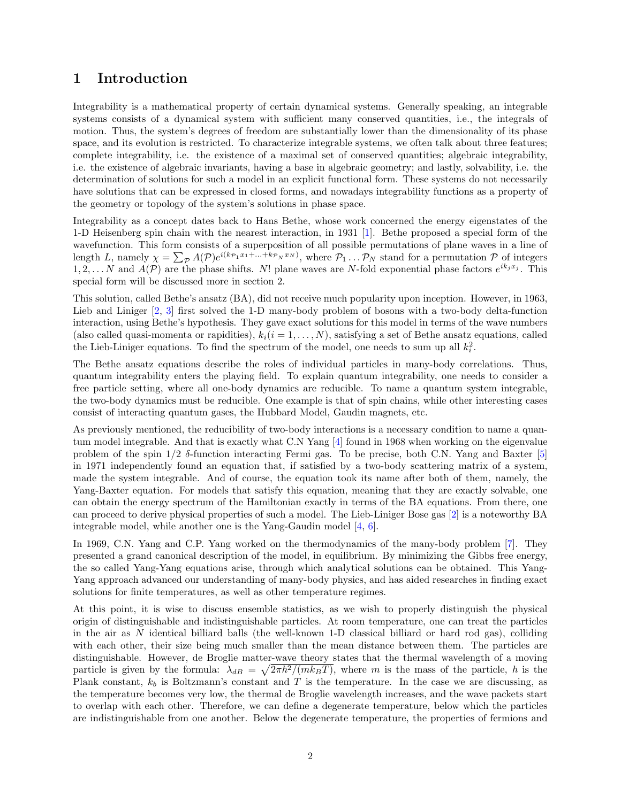## <span id="page-1-0"></span>1 Introduction

Integrability is a mathematical property of certain dynamical systems. Generally speaking, an integrable systems consists of a dynamical system with sufficient many conserved quantities, i.e., the integrals of motion. Thus, the system's degrees of freedom are substantially lower than the dimensionality of its phase space, and its evolution is restricted. To characterize integrable systems, we often talk about three features; complete integrability, i.e. the existence of a maximal set of conserved quantities; algebraic integrability, i.e. the existence of algebraic invariants, having a base in algebraic geometry; and lastly, solvability, i.e. the determination of solutions for such a model in an explicit functional form. These systems do not necessarily have solutions that can be expressed in closed forms, and nowadays integrability functions as a property of the geometry or topology of the system's solutions in phase space.

Integrability as a concept dates back to Hans Bethe, whose work concerned the energy eigenstates of the 1-D Heisenberg spin chain with the nearest interaction, in 1931 [\[1\]](#page-30-0). Bethe proposed a special form of the wavefunction. This form consists of a superposition of all possible permutations of plane waves in a line of length L, namely  $\chi = \sum_{\mathcal{P}} A(\mathcal{P})e^{i(k_{\mathcal{P}_1}x_1 + ... + k_{\mathcal{P}_N}x_N)}$ , where  $\mathcal{P}_1 ... \mathcal{P}_N$  stand for a permutation  $\mathcal{P}$  of integers 1, 2, ... N and  $A(\mathcal{P})$  are the phase shifts. N! plane waves are N-fold exponential phase factors  $e^{ik_jx_j}$ . This special form will be discussed more in section 2.

This solution, called Bethe's ansatz (BA), did not receive much popularity upon inception. However, in 1963, Lieb and Liniger [\[2,](#page-30-1) [3\]](#page-30-2) first solved the 1-D many-body problem of bosons with a two-body delta-function interaction, using Bethe's hypothesis. They gave exact solutions for this model in terms of the wave numbers (also called quasi-momenta or rapidities),  $k_i(i = 1, \ldots, N)$ , satisfying a set of Bethe ansatz equations, called the Lieb-Liniger equations. To find the spectrum of the model, one needs to sum up all  $k_i^2$ .

The Bethe ansatz equations describe the roles of individual particles in many-body correlations. Thus, quantum integrability enters the playing field. To explain quantum integrability, one needs to consider a free particle setting, where all one-body dynamics are reducible. To name a quantum system integrable, the two-body dynamics must be reducible. One example is that of spin chains, while other interesting cases consist of interacting quantum gases, the Hubbard Model, Gaudin magnets, etc.

As previously mentioned, the reducibility of two-body interactions is a necessary condition to name a quantum model integrable. And that is exactly what C.N Yang [\[4\]](#page-30-3) found in 1968 when working on the eigenvalue problem of the spin 1/2 δ-function interacting Fermi gas. To be precise, both C.N. Yang and Baxter [\[5\]](#page-30-4) in 1971 independently found an equation that, if satisfied by a two-body scattering matrix of a system, made the system integrable. And of course, the equation took its name after both of them, namely, the Yang-Baxter equation. For models that satisfy this equation, meaning that they are exactly solvable, one can obtain the energy spectrum of the Hamiltonian exactly in terms of the BA equations. From there, one can proceed to derive physical properties of such a model. The Lieb-Liniger Bose gas [\[2\]](#page-30-1) is a noteworthy BA integrable model, while another one is the Yang-Gaudin model [\[4,](#page-30-3) [6\]](#page-30-5).

In 1969, C.N. Yang and C.P. Yang worked on the thermodynamics of the many-body problem [\[7\]](#page-30-6). They presented a grand canonical description of the model, in equilibrium. By minimizing the Gibbs free energy, the so called Yang-Yang equations arise, through which analytical solutions can be obtained. This Yang-Yang approach advanced our understanding of many-body physics, and has aided researches in finding exact solutions for finite temperatures, as well as other temperature regimes.

At this point, it is wise to discuss ensemble statistics, as we wish to properly distinguish the physical origin of distinguishable and indistinguishable particles. At room temperature, one can treat the particles in the air as N identical billiard balls (the well-known 1-D classical billiard or hard rod gas), colliding with each other, their size being much smaller than the mean distance between them. The particles are distinguishable. However, de Broglie matter-wave theory states that the thermal wavelength of a moving particle is given by the formula:  $\lambda_{dB} = \sqrt{2\pi\hbar^2/(mk_BT)}$ , where m is the mass of the particle,  $\hbar$  is the Plank constant,  $k_b$  is Boltzmann's constant and T is the temperature. In the case we are discussing, as the temperature becomes very low, the thermal de Broglie wavelength increases, and the wave packets start to overlap with each other. Therefore, we can define a degenerate temperature, below which the particles are indistinguishable from one another. Below the degenerate temperature, the properties of fermions and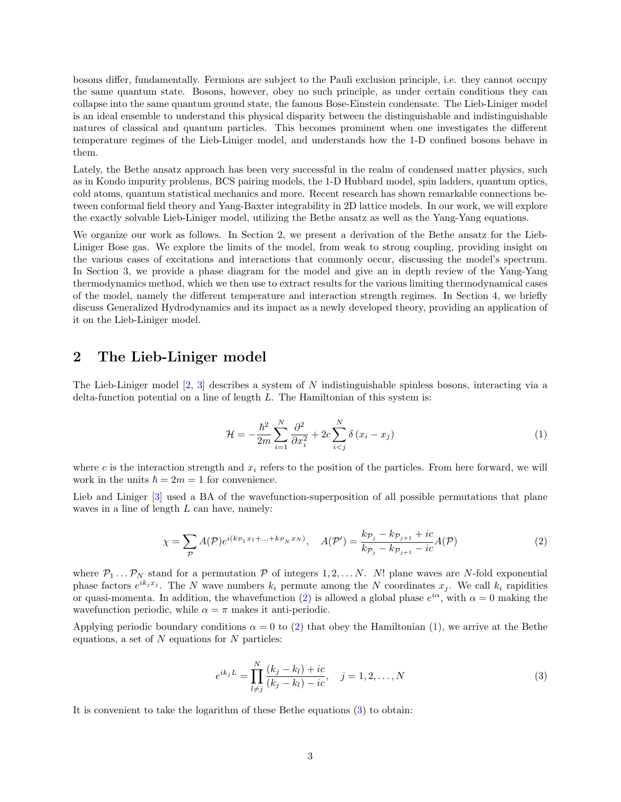bosons differ, fundamentally. Fermions are subject to the Pauli exclusion principle, i.e. they cannot occupy the same quantum state. Bosons, however, obey no such principle, as under certain conditions they can collapse into the same quantum ground state, the famous Bose-Einstein condensate. The Lieb-Liniger model is an ideal ensemble to understand this physical disparity between the distinguishable and indistinguishable natures of classical and quantum particles. This becomes prominent when one investigates the different temperature regimes of the Lieb-Liniger model, and understands how the 1-D confined bosons behave in them.

Lately, the Bethe ansatz approach has been very successful in the realm of condensed matter physics, such as in Kondo impurity problems, BCS pairing models, the 1-D Hubbard model, spin ladders, quantum optics, cold atoms, quantum statistical mechanics and more. Recent research has shown remarkable connections between conformal field theory and Yang-Baxter integrability in 2D lattice models. In our work, we will explore the exactly solvable Lieb-Liniger model, utilizing the Bethe ansatz as well as the Yang-Yang equations.

We organize our work as follows. In Section 2, we present a derivation of the Bethe ansatz for the Lieb-Liniger Bose gas. We explore the limits of the model, from weak to strong coupling, providing insight on the various cases of excitations and interactions that commonly occur, discussing the model's spectrum. In Section 3, we provide a phase diagram for the model and give an in depth review of the Yang-Yang thermodynamics method, which we then use to extract results for the various limiting thermodynamical cases of the model, namely the different temperature and interaction strength regimes. In Section 4, we briefly discuss Generalized Hydrodynamics and its impact as a newly developed theory, providing an application of it on the Lieb-Liniger model.

### <span id="page-2-0"></span>2 The Lieb-Liniger model

The Lieb-Liniger model [\[2,](#page-30-1) [3\]](#page-30-2) describes a system of N indistinguishable spinless bosons, interacting via a delta-function potential on a line of length  $L$ . The Hamiltonian of this system is:

<span id="page-2-2"></span>
$$
\mathcal{H} = -\frac{\hbar^2}{2m} \sum_{i=1}^{N} \frac{\partial^2}{\partial x_i^2} + 2c \sum_{i < j}^{N} \delta(x_i - x_j) \tag{1}
$$

where c is the interaction strength and  $x_i$  refers to the position of the particles. From here forward, we will work in the units  $\hbar = 2m = 1$  for convenience.

Lieb and Liniger [\[3\]](#page-30-2) used a BA of the wavefunction-superposition of all possible permutations that plane waves in a line of length  $L$  can have, namely:

<span id="page-2-1"></span>
$$
\chi = \sum_{\mathcal{P}} A(\mathcal{P}) e^{i(k_{\mathcal{P}_1} x_1 + \dots + k_{\mathcal{P}_N} x_N)}, \quad A(\mathcal{P}') = \frac{k_{\mathcal{P}_j} - k_{\mathcal{P}_{j+1}} + ic}{k_{\mathcal{P}_j} - k_{\mathcal{P}_{j+1}} - ic} A(\mathcal{P})
$$
(2)

where  $P_1 \ldots P_N$  stand for a permutation P of integers 1, 2, ... N. N! plane waves are N-fold exponential phase factors  $e^{ik_jx_j}$ . The N wave numbers  $k_i$  permute among the N coordinates  $x_j$ . We call  $k_i$  rapidities or quasi-momenta. In addition, the whavefunction [\(2\)](#page-2-1) is allowed a global phase  $e^{i\alpha}$ , with  $\alpha = 0$  making the wavefunction periodic, while  $\alpha = \pi$  makes it anti-periodic.

Applying periodic boundary conditions  $\alpha = 0$  to [\(2\)](#page-2-1) that obey the Hamiltonian [\(1\)](#page-2-2), we arrive at the Bethe equations, a set of  $N$  equations for  $N$  particles:

<span id="page-2-3"></span>
$$
e^{ik_j L} = \prod_{l \neq j}^{N} \frac{(k_j - k_l) + ic}{(k_j - k_l) - ic}, \quad j = 1, 2, ..., N
$$
 (3)

It is convenient to take the logarithm of these Bethe equations [\(3\)](#page-2-3) to obtain: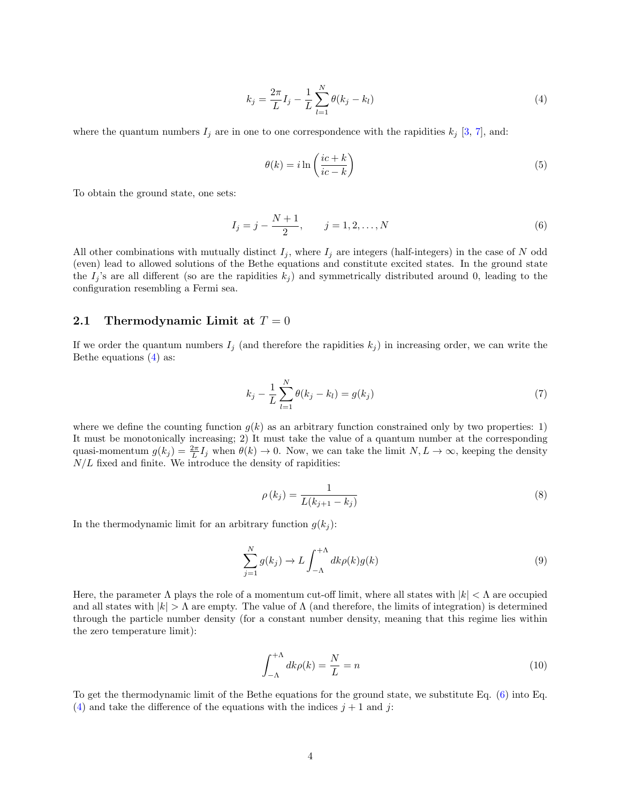<span id="page-3-1"></span>
$$
k_j = \frac{2\pi}{L} I_j - \frac{1}{L} \sum_{l=1}^{N} \theta(k_j - k_l)
$$
\n(4)

where the quantum numbers  $I_j$  are in one to one correspondence with the rapidities  $k_j$  [\[3,](#page-30-2) [7\]](#page-30-6), and:

$$
\theta(k) = i \ln \left( \frac{ic + k}{ic - k} \right) \tag{5}
$$

To obtain the ground state, one sets:

<span id="page-3-2"></span>
$$
I_j = j - \frac{N+1}{2}, \qquad j = 1, 2, \dots, N
$$
 (6)

All other combinations with mutually distinct  $I_j$ , where  $I_j$  are integers (half-integers) in the case of N odd (even) lead to allowed solutions of the Bethe equations and constitute excited states. In the ground state the  $I_j$ 's are all different (so are the rapidities  $k_j$ ) and symmetrically distributed around 0, leading to the configuration resembling a Fermi sea.

#### <span id="page-3-0"></span>2.1 Thermodynamic Limit at  $T = 0$

If we order the quantum numbers  $I_j$  (and therefore the rapidities  $k_j$ ) in increasing order, we can write the Bethe equations [\(4\)](#page-3-1) as:

$$
k_j - \frac{1}{L} \sum_{l=1}^{N} \theta(k_j - k_l) = g(k_j)
$$
\n(7)

where we define the counting function  $g(k)$  as an arbitrary function constrained only by two properties: 1) It must be monotonically increasing; 2) It must take the value of a quantum number at the corresponding quasi-momentum  $g(k_j) = \frac{2\pi}{L}I_j$  when  $\theta(k) \to 0$ . Now, we can take the limit  $N, L \to \infty$ , keeping the density  $N/L$  fixed and finite. We introduce the density of rapidities:

<span id="page-3-3"></span>
$$
\rho(k_j) = \frac{1}{L(k_{j+1} - k_j)}
$$
\n(8)

In the thermodynamic limit for an arbitrary function  $g(k_i)$ :

<span id="page-3-4"></span>
$$
\sum_{j=1}^{N} g(k_j) \to L \int_{-\Lambda}^{+\Lambda} dk \rho(k) g(k)
$$
\n(9)

Here, the parameter  $\Lambda$  plays the role of a momentum cut-off limit, where all states with  $|k| < \Lambda$  are occupied and all states with  $|k| > \Lambda$  are empty. The value of  $\Lambda$  (and therefore, the limits of integration) is determined through the particle number density (for a constant number density, meaning that this regime lies within the zero temperature limit):

<span id="page-3-5"></span>
$$
\int_{-\Lambda}^{+\Lambda} dk \rho(k) = \frac{N}{L} = n \tag{10}
$$

To get the thermodynamic limit of the Bethe equations for the ground state, we substitute Eq. [\(6\)](#page-3-2) into Eq. [\(4\)](#page-3-1) and take the difference of the equations with the indices  $j + 1$  and j: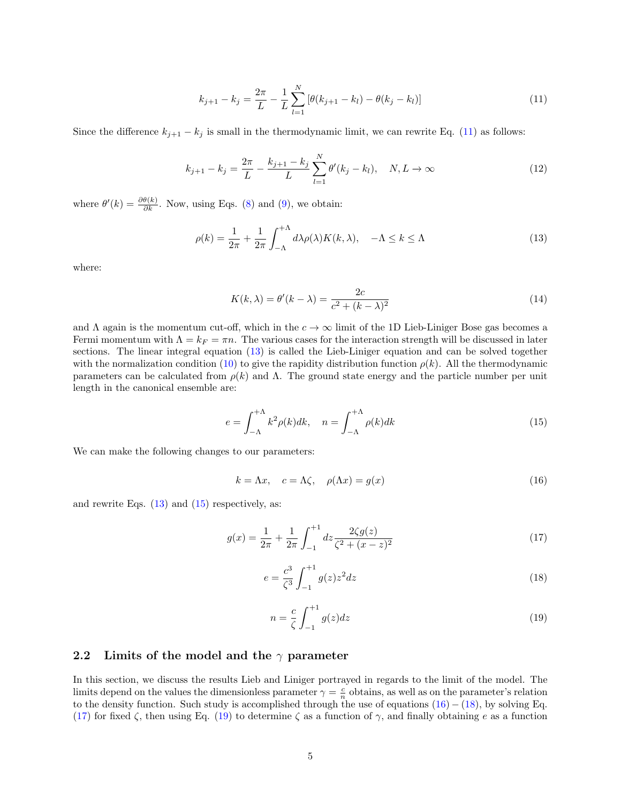<span id="page-4-1"></span>
$$
k_{j+1} - k_j = \frac{2\pi}{L} - \frac{1}{L} \sum_{l=1}^{N} \left[ \theta(k_{j+1} - k_l) - \theta(k_j - k_l) \right]
$$
 (11)

Since the difference  $k_{j+1} - k_j$  is small in the thermodynamic limit, we can rewrite Eq. [\(11\)](#page-4-1) as follows:

$$
k_{j+1} - k_j = \frac{2\pi}{L} - \frac{k_{j+1} - k_j}{L} \sum_{l=1}^{N} \theta'(k_j - k_l), \quad N, L \to \infty
$$
 (12)

where  $\theta'(k) = \frac{\partial \theta(k)}{\partial k}$ . Now, using Eqs. [\(8\)](#page-3-3) and [\(9\)](#page-3-4), we obtain:

<span id="page-4-2"></span>
$$
\rho(k) = \frac{1}{2\pi} + \frac{1}{2\pi} \int_{-\Lambda}^{+\Lambda} d\lambda \rho(\lambda) K(k, \lambda), \quad -\Lambda \le k \le \Lambda
$$
\n(13)

where:

$$
K(k,\lambda) = \theta'(k-\lambda) = \frac{2c}{c^2 + (k-\lambda)^2}
$$
\n(14)

and  $\Lambda$  again is the momentum cut-off, which in the  $c \to \infty$  limit of the 1D Lieb-Liniger Bose gas becomes a Fermi momentum with  $\Lambda = k_F = \pi n$ . The various cases for the interaction strength will be discussed in later sections. The linear integral equation [\(13\)](#page-4-2) is called the Lieb-Liniger equation and can be solved together with the normalization condition [\(10\)](#page-3-5) to give the rapidity distribution function  $\rho(k)$ . All the thermodynamic parameters can be calculated from  $\rho(k)$  and  $\Lambda$ . The ground state energy and the particle number per unit length in the canonical ensemble are:

<span id="page-4-3"></span>
$$
e = \int_{-\Lambda}^{+\Lambda} k^2 \rho(k) dk, \quad n = \int_{-\Lambda}^{+\Lambda} \rho(k) dk
$$
 (15)

We can make the following changes to our parameters:

<span id="page-4-4"></span>
$$
k = \Lambda x, \quad c = \Lambda \zeta, \quad \rho(\Lambda x) = g(x) \tag{16}
$$

and rewrite Eqs.  $(13)$  and  $(15)$  respectively, as:

<span id="page-4-6"></span>
$$
g(x) = \frac{1}{2\pi} + \frac{1}{2\pi} \int_{-1}^{+1} dz \frac{2\zeta g(z)}{\zeta^2 + (x - z)^2}
$$
 (17)

<span id="page-4-5"></span>
$$
e = \frac{c^3}{\zeta^3} \int_{-1}^{+1} g(z) z^2 dz \tag{18}
$$

<span id="page-4-7"></span>
$$
n = \frac{c}{\zeta} \int_{-1}^{+1} g(z) dz \tag{19}
$$

#### <span id="page-4-0"></span>2.2 Limits of the model and the  $\gamma$  parameter

In this section, we discuss the results Lieb and Liniger portrayed in regards to the limit of the model. The limits depend on the values the dimensionless parameter  $\gamma = \frac{c}{n}$  obtains, as well as on the parameter's relation to the density function. Such study is accomplished through the use of equations  $(16) - (18)$  $(16) - (18)$  $(16) - (18)$ , by solving Eq. [\(17\)](#page-4-6) for fixed  $\zeta$ , then using Eq. [\(19\)](#page-4-7) to determine  $\zeta$  as a function of  $\gamma$ , and finally obtaining e as a function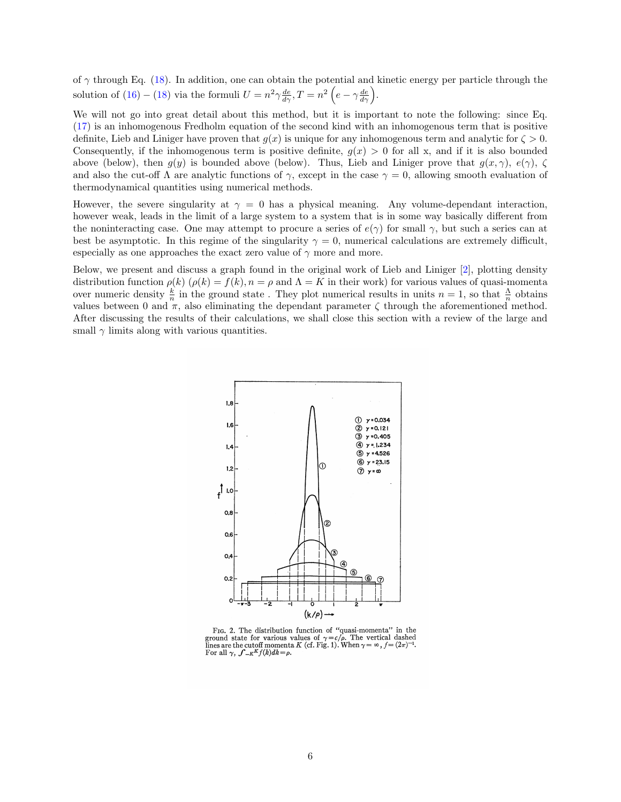of  $\gamma$  through Eq. [\(18\)](#page-4-5). In addition, one can obtain the potential and kinetic energy per particle through the solution of  $(16) - (18)$  $(16) - (18)$  $(16) - (18)$  via the formuli  $U = n^2 \gamma \frac{de}{d\gamma}, T = n^2 \left( e - \gamma \frac{de}{d\gamma} \right)$ .

We will not go into great detail about this method, but it is important to note the following: since Eq. [\(17\)](#page-4-6) is an inhomogenous Fredholm equation of the second kind with an inhomogenous term that is positive definite, Lieb and Liniger have proven that  $q(x)$  is unique for any inhomogenous term and analytic for  $\zeta > 0$ . Consequently, if the inhomogenous term is positive definite,  $g(x) > 0$  for all x, and if it is also bounded above (below), then  $q(y)$  is bounded above (below). Thus, Lieb and Liniger prove that  $q(x, \gamma)$ ,  $e(\gamma)$ ,  $\zeta$ and also the cut-off  $\Lambda$  are analytic functions of  $\gamma$ , except in the case  $\gamma = 0$ , allowing smooth evaluation of thermodynamical quantities using numerical methods.

However, the severe singularity at  $\gamma = 0$  has a physical meaning. Any volume-dependant interaction, however weak, leads in the limit of a large system to a system that is in some way basically different from the noninteracting case. One may attempt to procure a series of  $e(\gamma)$  for small  $\gamma$ , but such a series can at best be asymptotic. In this regime of the singularity  $\gamma = 0$ , numerical calculations are extremely difficult, especially as one approaches the exact zero value of  $\gamma$  more and more.

Below, we present and discuss a graph found in the original work of Lieb and Liniger [\[2\]](#page-30-1), plotting density distribution function  $\rho(k)$  ( $\rho(k) = f(k), n = \rho$  and  $\Lambda = K$  in their work) for various values of quasi-momenta over numeric density  $\frac{k}{n}$  in the ground state. They plot numerical results in units  $n = 1$ , so that  $\frac{\Lambda}{n}$  obtains values between 0 and  $\pi$ , also eliminating the dependant parameter  $\zeta$  through the aforementioned method. After discussing the results of their calculations, we shall close this section with a review of the large and small  $\gamma$  limits along with various quantities.



FIG. 2. The distribution function of "quasi-momenta" in the Fig. 2. The distribution function of quasi-informedia in the<br>ground state for various values of  $\gamma = c/\rho$ . The vertical dashed<br>lines are the cutoff momenta K (cf. Fig. 1). When  $\gamma = \infty$ ,  $f = (2\pi)^{-1}$ . For all  $\gamma$ ,  $\int_{-K}^{K} f(k)dk = \rho$ .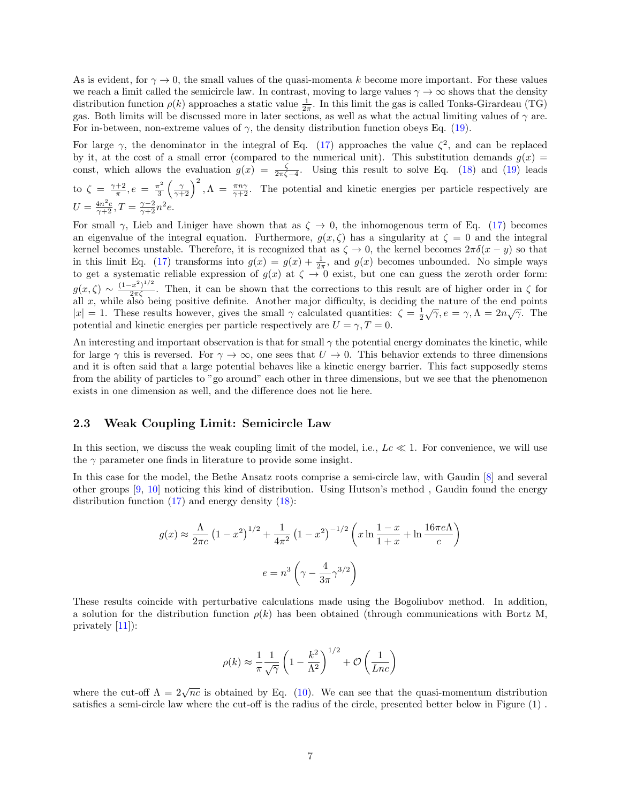As is evident, for  $\gamma \to 0$ , the small values of the quasi-momenta k become more important. For these values we reach a limit called the semicircle law. In contrast, moving to large values  $\gamma \to \infty$  shows that the density distribution function  $\rho(k)$  approaches a static value  $\frac{1}{2\pi}$ . In this limit the gas is called Tonks-Girardeau (TG) gas. Both limits will be discussed more in later sections, as well as what the actual limiting values of  $\gamma$  are. For in-between, non-extreme values of  $\gamma$ , the density distribution function obeys Eq. [\(19\)](#page-4-7).

For large  $\gamma$ , the denominator in the integral of Eq. [\(17\)](#page-4-6) approaches the value  $\zeta^2$ , and can be replaced by it, at the cost of a small error (compared to the numerical unit). This substitution demands  $g(x)$ const, which allows the evaluation  $g(x) = \frac{\zeta}{2\pi\zeta - 4}$ . Using this result to solve Eq. [\(18\)](#page-4-5) and [\(19\)](#page-4-7) leads to  $\zeta = \frac{\gamma + 2}{\pi}, e = \frac{\pi^2}{3}$  $\frac{\pi^2}{3} \left( \frac{\gamma}{\gamma+2} \right)^2$ ,  $\Lambda = \frac{\pi n \gamma}{\gamma+2}$ . The potential and kinetic energies per particle respectively are  $U = \frac{4n^2e}{\gamma + 2}, T = \frac{\gamma - 2}{\gamma + 2}n^2e.$ 

For small  $\gamma$ , Lieb and Liniger have shown that as  $\zeta \to 0$ , the inhomogenous term of Eq. [\(17\)](#page-4-6) becomes an eigenvalue of the integral equation. Furthermore,  $g(x, \zeta)$  has a singularity at  $\zeta = 0$  and the integral kernel becomes unstable. Therefore, it is recognized that as  $\zeta \to 0$ , the kernel becomes  $2\pi\delta(x-y)$  so that in this limit Eq. [\(17\)](#page-4-6) transforms into  $g(x) = g(x) + \frac{1}{2\pi}$ , and  $g(x)$  becomes unbounded. No simple ways to get a systematic reliable expression of  $g(x)$  at  $\zeta \to 0$  exist, but one can guess the zeroth order form:  $g(x,\zeta) \sim \frac{(1-x^2)^{1/2}}{2\pi\zeta}$ . Then, it can be shown that the corrections to this result are of higher order in  $\zeta$  for all  $x$ , while also being positive definite. Another major difficulty, is deciding the nature of the end points and x, while also being positive definite. Another major difficulty, is declaring the nature of the end points  $|x| = 1$ . These results however, gives the small  $\gamma$  calculated quantities:  $\zeta = \frac{1}{2}\sqrt{\gamma}$ ,  $e = \gamma$ ,  $\Lambda = 2n$ potential and kinetic energies per particle respectively are  $U = \gamma$ ,  $T = 0$ .

An interesting and important observation is that for small  $\gamma$  the potential energy dominates the kinetic, while for large  $\gamma$  this is reversed. For  $\gamma \to \infty$ , one sees that  $U \to 0$ . This behavior extends to three dimensions and it is often said that a large potential behaves like a kinetic energy barrier. This fact supposedly stems from the ability of particles to "go around" each other in three dimensions, but we see that the phenomenon exists in one dimension as well, and the difference does not lie here.

#### <span id="page-6-0"></span>2.3 Weak Coupling Limit: Semicircle Law

In this section, we discuss the weak coupling limit of the model, i.e.,  $Lc \ll 1$ . For convenience, we will use the  $\gamma$  parameter one finds in literature to provide some insight.

In this case for the model, the Bethe Ansatz roots comprise a semi-circle law, with Gaudin [\[8\]](#page-30-7) and several other groups [\[9,](#page-30-8) [10\]](#page-30-9) noticing this kind of distribution. Using Hutson's method , Gaudin found the energy distribution function  $(17)$  and energy density  $(18)$ :

$$
g(x) \approx \frac{\Lambda}{2\pi c} \left(1 - x^2\right)^{1/2} + \frac{1}{4\pi^2} \left(1 - x^2\right)^{-1/2} \left(x \ln \frac{1 - x}{1 + x} + \ln \frac{16\pi e\Lambda}{c}\right)
$$

$$
e = n^3 \left(\gamma - \frac{4}{3\pi}\gamma^{3/2}\right)
$$

These results coincide with perturbative calculations made using the Bogoliubov method. In addition, a solution for the distribution function  $\rho(k)$  has been obtained (through communications with Bortz M, privately [\[11\]](#page-30-10)):

$$
\rho(k) \approx \frac{1}{\pi} \frac{1}{\sqrt{\gamma}} \left( 1 - \frac{k^2}{\Lambda^2} \right)^{1/2} + \mathcal{O}\left( \frac{1}{Lnc} \right)
$$

where the cut-off  $\Lambda = 2\sqrt{nc}$  is obtained by Eq. [\(10\)](#page-3-5). We can see that the quasi-momentum distribution satisfies a semi-circle law where the cut-off is the radius of the circle, presented better below in Figure (1) .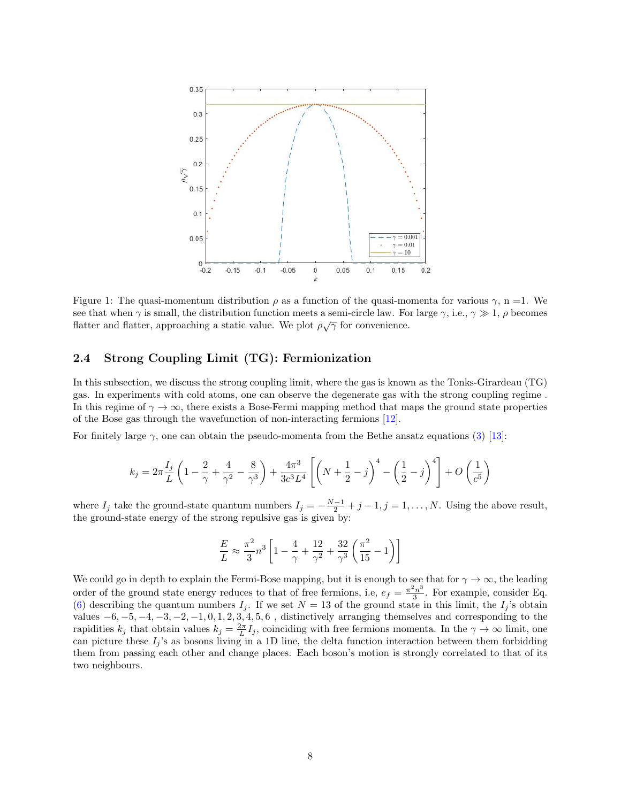<span id="page-7-1"></span>

Figure 1: The quasi-momentum distribution  $\rho$  as a function of the quasi-momenta for various  $\gamma$ , n =1. We see that when  $\gamma$  is small, the distribution function meets a semi-circle law. For large  $\gamma$ , i.e.,  $\gamma \gg 1$ ,  $\rho$  becomes flatter and flatter, approaching a static value. We plot  $\rho\sqrt{\gamma}$  for convenience.

#### <span id="page-7-0"></span>2.4 Strong Coupling Limit (TG): Fermionization

In this subsection, we discuss the strong coupling limit, where the gas is known as the Tonks-Girardeau (TG) gas. In experiments with cold atoms, one can observe the degenerate gas with the strong coupling regime . In this regime of  $\gamma \to \infty$ , there exists a Bose-Fermi mapping method that maps the ground state properties of the Bose gas through the wavefunction of non-interacting fermions [\[12\]](#page-30-11).

For finitely large  $\gamma$ , one can obtain the pseudo-momenta from the Bethe ansatz equations [\(3\)](#page-2-3) [\[13\]](#page-30-12):

$$
k_j = 2\pi \frac{I_j}{L} \left( 1 - \frac{2}{\gamma} + \frac{4}{\gamma^2} - \frac{8}{\gamma^3} \right) + \frac{4\pi^3}{3c^3 L^4} \left[ \left( N + \frac{1}{2} - j \right)^4 - \left( \frac{1}{2} - j \right)^4 \right] + O\left( \frac{1}{c^5} \right)
$$

where  $I_j$  take the ground-state quantum numbers  $I_j = -\frac{N-1}{2} + j - 1, j = 1, ..., N$ . Using the above result, the ground-state energy of the strong repulsive gas is given by:

$$
\frac{E}{L} \approx \frac{\pi^2}{3} n^3 \left[1-\frac{4}{\gamma}+\frac{12}{\gamma^2}+\frac{32}{\gamma^3}\left(\frac{\pi^2}{15}-1\right)\right]
$$

We could go in depth to explain the Fermi-Bose mapping, but it is enough to see that for  $\gamma \to \infty$ , the leading order of the ground state energy reduces to that of free fermions, i.e,  $e_f = \frac{\pi^2 n^3}{3}$  $\frac{\epsilon_n^2}{3}$ . For example, consider Eq. [\(6\)](#page-3-2) describing the quantum numbers  $I_j$ . If we set  $N = 13$  of the ground state in this limit, the  $I_j$ 's obtain values  $-6, -5, -4, -3, -2, -1, 0, 1, 2, 3, 4, 5, 6$ , distinctively arranging themselves and corresponding to the rapidities  $k_j$  that obtain values  $k_j = \frac{2\pi}{L}I_j$ , coinciding with free fermions momenta. In the  $\gamma \to \infty$  limit, one can picture these  $I_i$ 's as bosons living in a 1D line, the delta function interaction between them forbidding them from passing each other and change places. Each boson's motion is strongly correlated to that of its two neighbours.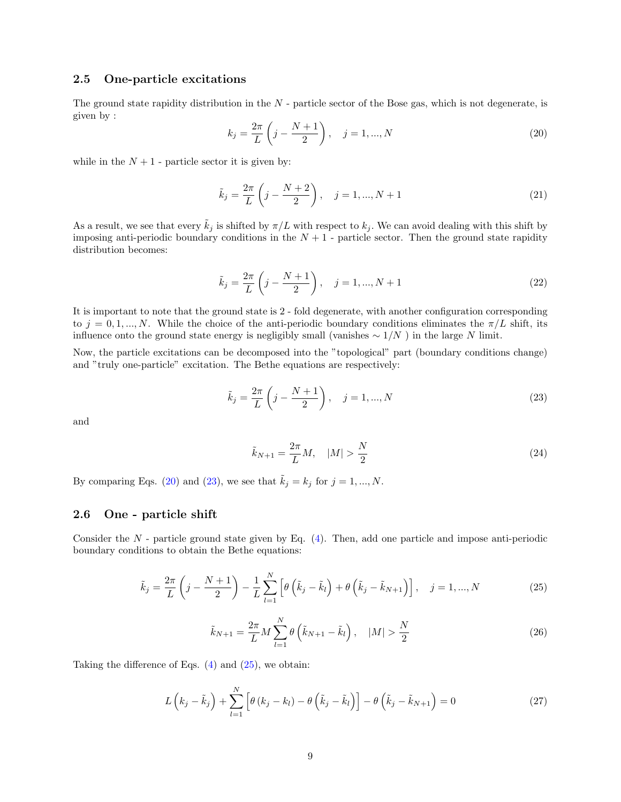#### <span id="page-8-0"></span>2.5 One-particle excitations

The ground state rapidity distribution in the  $N$  - particle sector of the Bose gas, which is not degenerate, is given by :

<span id="page-8-2"></span>
$$
k_j = \frac{2\pi}{L} \left( j - \frac{N+1}{2} \right), \quad j = 1, ..., N
$$
 (20)

while in the  $N + 1$  - particle sector it is given by:

$$
\tilde{k}_j = \frac{2\pi}{L} \left( j - \frac{N+2}{2} \right), \quad j = 1, ..., N+1
$$
\n(21)

As a result, we see that every  $\tilde{k}_i$  is shifted by  $\pi/L$  with respect to  $k_i$ . We can avoid dealing with this shift by imposing anti-periodic boundary conditions in the  $N + 1$  - particle sector. Then the ground state rapidity distribution becomes:

$$
\tilde{k}_j = \frac{2\pi}{L} \left( j - \frac{N+1}{2} \right), \quad j = 1, ..., N+1
$$
\n(22)

It is important to note that the ground state is 2 - fold degenerate, with another configuration corresponding to  $j = 0, 1, ..., N$ . While the choice of the anti-periodic boundary conditions eliminates the  $\pi/L$  shift, its influence onto the ground state energy is negligibly small (vanishes  $\sim 1/N$ ) in the large N limit.

Now, the particle excitations can be decomposed into the "topological" part (boundary conditions change) and "truly one-particle" excitation. The Bethe equations are respectively:

<span id="page-8-3"></span>
$$
\tilde{k}_j = \frac{2\pi}{L} \left( j - \frac{N+1}{2} \right), \quad j = 1, ..., N
$$
\n(23)

and

$$
\tilde{k}_{N+1} = \frac{2\pi}{L}M, \quad |M| > \frac{N}{2}
$$
\n(24)

By comparing Eqs. [\(20\)](#page-8-2) and [\(23\)](#page-8-3), we see that  $\tilde{k}_j = k_j$  for  $j = 1, ..., N$ .

#### <span id="page-8-1"></span>2.6 One - particle shift

Consider the  $N$  - particle ground state given by Eq.  $(4)$ . Then, add one particle and impose anti-periodic boundary conditions to obtain the Bethe equations:

<span id="page-8-4"></span>
$$
\tilde{k}_j = \frac{2\pi}{L} \left( j - \frac{N+1}{2} \right) - \frac{1}{L} \sum_{l=1}^N \left[ \theta \left( \tilde{k}_j - \tilde{k}_l \right) + \theta \left( \tilde{k}_j - \tilde{k}_{N+1} \right) \right], \quad j = 1, ..., N
$$
\n(25)

$$
\tilde{k}_{N+1} = \frac{2\pi}{L} M \sum_{l=1}^{N} \theta\left(\tilde{k}_{N+1} - \tilde{k}_{l}\right), \quad |M| > \frac{N}{2}
$$
\n(26)

Taking the difference of Eqs.  $(4)$  and  $(25)$ , we obtain:

<span id="page-8-5"></span>
$$
L\left(k_j - \tilde{k}_j\right) + \sum_{l=1}^{N} \left[\theta\left(k_j - k_l\right) - \theta\left(\tilde{k}_j - \tilde{k}_l\right)\right] - \theta\left(\tilde{k}_j - \tilde{k}_{N+1}\right) = 0
$$
\n(27)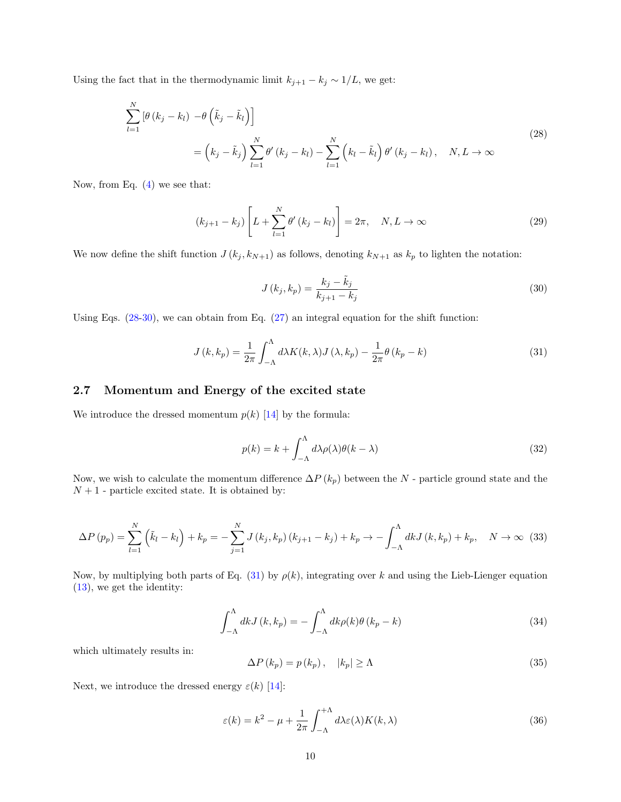Using the fact that in the thermodynamic limit  $k_{j+1} - k_j \sim 1/L$ , we get:

<span id="page-9-1"></span>
$$
\sum_{l=1}^{N} \left[ \theta \left( k_j - k_l \right) - \theta \left( \tilde{k}_j - \tilde{k}_l \right) \right]
$$
\n
$$
= \left( k_j - \tilde{k}_j \right) \sum_{l=1}^{N} \theta' \left( k_j - k_l \right) - \sum_{l=1}^{N} \left( k_l - \tilde{k}_l \right) \theta' \left( k_j - k_l \right), \quad N, L \to \infty
$$
\n(28)

Now, from Eq.  $(4)$  we see that:

$$
(k_{j+1} - k_j) \left[ L + \sum_{l=1}^{N} \theta' (k_j - k_l) \right] = 2\pi, \quad N, L \to \infty
$$
 (29)

We now define the shift function  $J(k_j, k_{N+1})$  as follows, denoting  $k_{N+1}$  as  $k_p$  to lighten the notation:

<span id="page-9-2"></span>
$$
J(k_j, k_p) = \frac{k_j - \tilde{k}_j}{k_{j+1} - k_j}
$$
\n(30)

Using Eqs.  $(28-30)$  $(28-30)$ , we can obtain from Eq.  $(27)$  an integral equation for the shift function:

<span id="page-9-3"></span>
$$
J(k,k_p) = \frac{1}{2\pi} \int_{-\Lambda}^{\Lambda} d\lambda K(k,\lambda) J(\lambda,k_p) - \frac{1}{2\pi} \theta (k_p - k)
$$
 (31)

#### <span id="page-9-0"></span>2.7 Momentum and Energy of the excited state

We introduce the dressed momentum  $p(k)$  [\[14\]](#page-30-13) by the formula:

<span id="page-9-5"></span>
$$
p(k) = k + \int_{-\Lambda}^{\Lambda} d\lambda \rho(\lambda) \theta(k - \lambda)
$$
\n(32)

Now, we wish to calculate the momentum difference  $\Delta P(k_p)$  between the N - particle ground state and the  ${\cal N}+1$  - particle excited state. It is obtained by:

$$
\Delta P(p_p) = \sum_{l=1}^{N} (\tilde{k}_l - k_l) + k_p = -\sum_{j=1}^{N} J(k_j, k_p) (k_{j+1} - k_j) + k_p \to -\int_{-\Lambda}^{\Lambda} dk J(k, k_p) + k_p, \quad N \to \infty
$$
 (33)

Now, by multiplying both parts of Eq. [\(31\)](#page-9-3) by  $\rho(k)$ , integrating over k and using the Lieb-Lienger equation [\(13\)](#page-4-2), we get the identity:

$$
\int_{-\Lambda}^{\Lambda} dk J(k, k_p) = -\int_{-\Lambda}^{\Lambda} dk \rho(k) \theta(k_p - k)
$$
\n(34)

which ultimately results in:

$$
\Delta P(k_p) = p(k_p), \quad |k_p| \ge \Lambda \tag{35}
$$

Next, we introduce the dressed energy  $\varepsilon(k)$  [\[14\]](#page-30-13):

<span id="page-9-4"></span>
$$
\varepsilon(k) = k^2 - \mu + \frac{1}{2\pi} \int_{-\Lambda}^{+\Lambda} d\lambda \varepsilon(\lambda) K(k, \lambda)
$$
\n(36)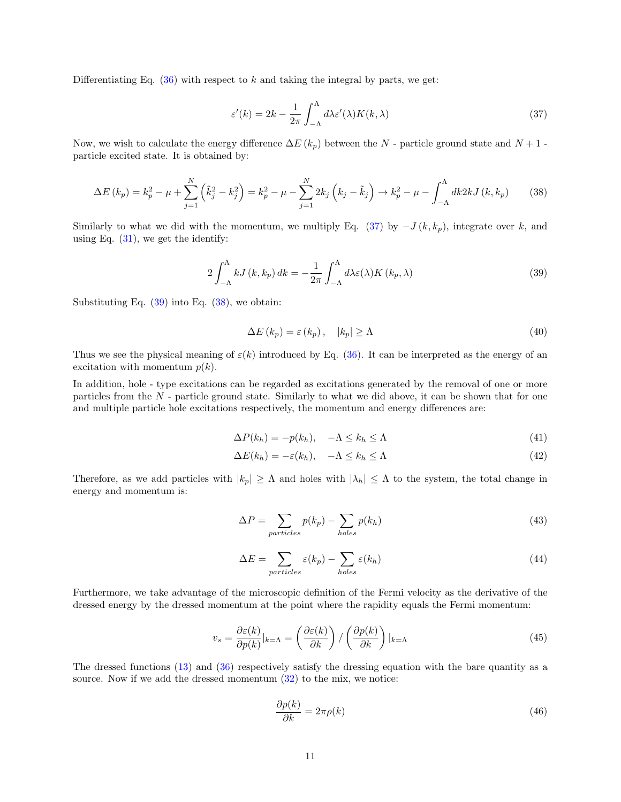Differentiating Eq.  $(36)$  with respect to k and taking the integral by parts, we get:

<span id="page-10-0"></span>
$$
\varepsilon'(k) = 2k - \frac{1}{2\pi} \int_{-\Lambda}^{\Lambda} d\lambda \varepsilon'(\lambda) K(k, \lambda)
$$
\n(37)

Now, we wish to calculate the energy difference  $\Delta E(k_p)$  between the N - particle ground state and N + 1 particle excited state. It is obtained by:

<span id="page-10-2"></span>
$$
\Delta E(k_p) = k_p^2 - \mu + \sum_{j=1}^N \left(\tilde{k}_j^2 - k_j^2\right) = k_p^2 - \mu - \sum_{j=1}^N 2k_j \left(k_j - \tilde{k}_j\right) \to k_p^2 - \mu - \int_{-\Lambda}^{\Lambda} dk 2k J\left(k, k_p\right) \tag{38}
$$

Similarly to what we did with the momentum, we multiply Eq. [\(37\)](#page-10-0) by  $-J(k, k_p)$ , integrate over k, and using Eq.  $(31)$ , we get the identify:

<span id="page-10-1"></span>
$$
2\int_{-\Lambda}^{\Lambda} kJ(k,k_p) dk = -\frac{1}{2\pi} \int_{-\Lambda}^{\Lambda} d\lambda \varepsilon(\lambda) K(k_p,\lambda)
$$
 (39)

Substituting Eq.  $(39)$  into Eq.  $(38)$ , we obtain:

$$
\Delta E(k_p) = \varepsilon(k_p), \quad |k_p| \ge \Lambda \tag{40}
$$

Thus we see the physical meaning of  $\varepsilon(k)$  introduced by Eq. [\(36\)](#page-9-4). It can be interpreted as the energy of an excitation with momentum  $p(k)$ .

In addition, hole - type excitations can be regarded as excitations generated by the removal of one or more particles from the  $N$  - particle ground state. Similarly to what we did above, it can be shown that for one and multiple particle hole excitations respectively, the momentum and energy differences are:

$$
\Delta P(k_h) = -p(k_h), \quad -\Lambda \le k_h \le \Lambda \tag{41}
$$

$$
\Delta E(k_h) = -\varepsilon(k_h), \quad -\Lambda \le k_h \le \Lambda \tag{42}
$$

Therefore, as we add particles with  $|k_p| \geq \Lambda$  and holes with  $|\lambda_h| \leq \Lambda$  to the system, the total change in energy and momentum is:

$$
\Delta P = \sum_{particles} p(k_p) - \sum_{holes} p(k_h)
$$
\n(43)

$$
\Delta E = \sum_{particles} \varepsilon(k_p) - \sum_{holes} \varepsilon(k_h)
$$
\n(44)

Furthermore, we take advantage of the microscopic definition of the Fermi velocity as the derivative of the dressed energy by the dressed momentum at the point where the rapidity equals the Fermi momentum:

$$
v_s = \frac{\partial \varepsilon(k)}{\partial p(k)}|_{k=\Lambda} = \left(\frac{\partial \varepsilon(k)}{\partial k}\right) / \left(\frac{\partial p(k)}{\partial k}\right)|_{k=\Lambda}
$$
(45)

The dressed functions  $(13)$  and  $(36)$  respectively satisfy the dressing equation with the bare quantity as a source. Now if we add the dressed momentum  $(32)$  to the mix, we notice:

$$
\frac{\partial p(k)}{\partial k} = 2\pi \rho(k) \tag{46}
$$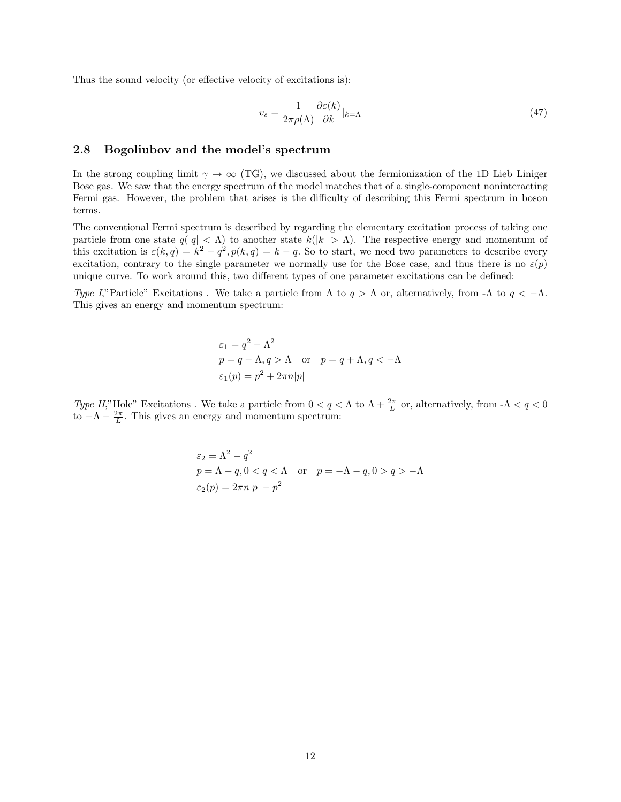Thus the sound velocity (or effective velocity of excitations is):

$$
v_s = \frac{1}{2\pi\rho(\Lambda)} \frac{\partial \varepsilon(k)}{\partial k}|_{k=\Lambda} \tag{47}
$$

#### <span id="page-11-0"></span>2.8 Bogoliubov and the model's spectrum

In the strong coupling limit  $\gamma \to \infty$  (TG), we discussed about the fermionization of the 1D Lieb Liniger Bose gas. We saw that the energy spectrum of the model matches that of a single-component noninteracting Fermi gas. However, the problem that arises is the difficulty of describing this Fermi spectrum in boson terms.

The conventional Fermi spectrum is described by regarding the elementary excitation process of taking one particle from one state  $q(|q| < \Lambda)$  to another state  $k(|k| > \Lambda)$ . The respective energy and momentum of this excitation is  $\varepsilon(k,q) = k^2 - q^2$ ,  $p(k,q) = k - q$ . So to start, we need two parameters to describe every excitation, contrary to the single parameter we normally use for the Bose case, and thus there is no  $\varepsilon(p)$ unique curve. To work around this, two different types of one parameter excitations can be defined:

Type I,"Particle" Excitations. We take a particle from  $\Lambda$  to  $q > \Lambda$  or, alternatively, from -Λ to  $q < -\Lambda$ . This gives an energy and momentum spectrum:

$$
\varepsilon_1 = q^2 - \Lambda^2
$$
  
 
$$
p = q - \Lambda, q > \Lambda \quad \text{or} \quad p = q + \Lambda, q < -\Lambda
$$
  
\n
$$
\varepsilon_1(p) = p^2 + 2\pi n|p|
$$

Type II,"Hole" Excitations. We take a particle from  $0 < q < \Lambda$  to  $\Lambda + \frac{2\pi}{L}$  or, alternatively, from  $-\Lambda < q < 0$ to  $-\Lambda - \frac{2\pi}{L}$ . This gives an energy and momentum spectrum:

$$
\varepsilon_2 = \Lambda^2 - q^2
$$
  
 
$$
p = \Lambda - q, 0 < q < \Lambda \quad \text{or} \quad p = -\Lambda - q, 0 > q > -\Lambda
$$
  
\n
$$
\varepsilon_2(p) = 2\pi n|p| - p^2
$$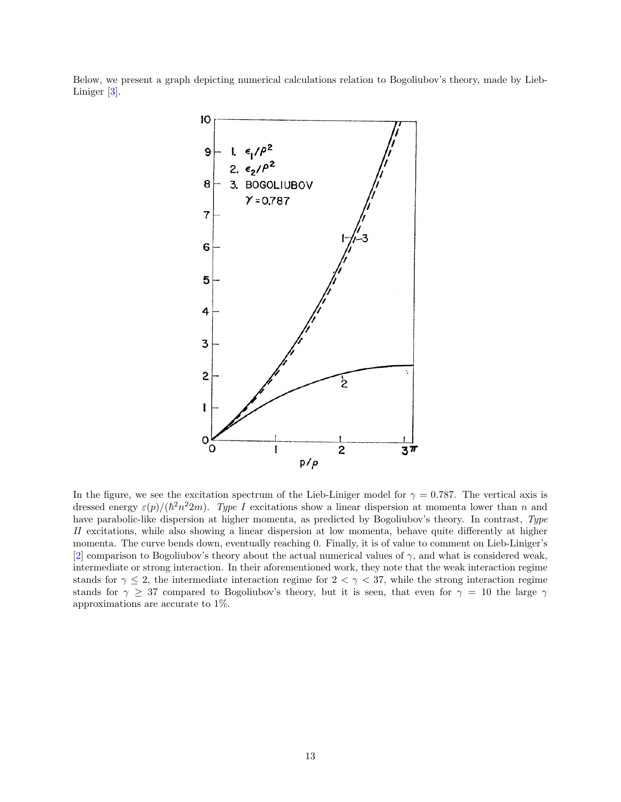Below, we present a graph depicting numerical calculations relation to Bogoliubov's theory, made by Lieb-Liniger [\[3\]](#page-30-2).



In the figure, we see the excitation spectrum of the Lieb-Liniger model for  $\gamma = 0.787$ . The vertical axis is dressed energy  $\varepsilon(p)/(\hbar^2 n^2 2m)$ . Type I excitations show a linear dispersion at momenta lower than n and have parabolic-like dispersion at higher momenta, as predicted by Bogoliubov's theory. In contrast, Type II excitations, while also showing a linear dispersion at low momenta, behave quite differently at higher momenta. The curve bends down, eventually reaching 0. Finally, it is of value to comment on Lieb-Liniger's [\[2\]](#page-30-1) comparison to Bogoliubov's theory about the actual numerical values of  $\gamma$ , and what is considered weak, intermediate or strong interaction. In their aforementioned work, they note that the weak interaction regime stands for  $\gamma \leq 2$ , the intermediate interaction regime for  $2 < \gamma < 37$ , while the strong interaction regime stands for  $\gamma \geq 37$  compared to Bogoliubov's theory, but it is seen, that even for  $\gamma = 10$  the large  $\gamma$ approximations are accurate to 1%.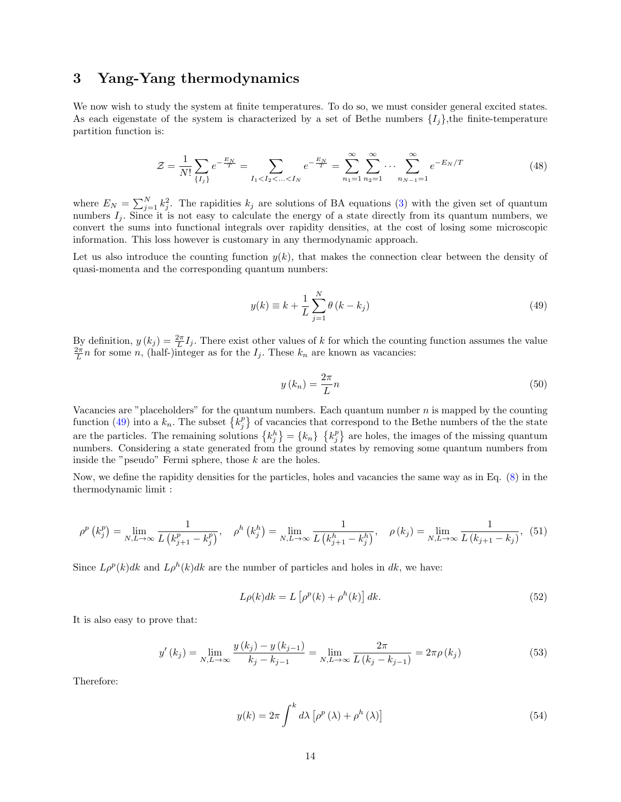## <span id="page-13-0"></span>3 Yang-Yang thermodynamics

We now wish to study the system at finite temperatures. To do so, we must consider general excited states. As each eigenstate of the system is characterized by a set of Bethe numbers  $\{I_i\}$ , the finite-temperature partition function is:

$$
\mathcal{Z} = \frac{1}{N!} \sum_{\{I_j\}} e^{-\frac{E_N}{T}} = \sum_{I_1 < I_2 < \dots < I_N} e^{-\frac{E_N}{T}} = \sum_{n_1 = 1}^{\infty} \sum_{n_2 = 1}^{\infty} \dots \sum_{n_{N-1} = 1}^{\infty} e^{-E_N/T} \tag{48}
$$

where  $E_N = \sum_{j=1}^N k_j^2$ . The rapidities  $k_j$  are solutions of BA equations [\(3\)](#page-2-3) with the given set of quantum numbers  $I_j$ . Since it is not easy to calculate the energy of a state directly from its quantum numbers, we convert the sums into functional integrals over rapidity densities, at the cost of losing some microscopic information. This loss however is customary in any thermodynamic approach.

Let us also introduce the counting function  $y(k)$ , that makes the connection clear between the density of quasi-momenta and the corresponding quantum numbers:

<span id="page-13-1"></span>
$$
y(k) \equiv k + \frac{1}{L} \sum_{j=1}^{N} \theta(k - k_j)
$$
\n
$$
(49)
$$

By definition,  $y(k_j) = \frac{2\pi}{L}I_j$ . There exist other values of k for which the counting function assumes the value  $\frac{2\pi}{L}n$  for some n, (half-)integer as for the  $I_j$ . These  $k_n$  are known as vacancies:

$$
y(k_n) = \frac{2\pi}{L}n\tag{50}
$$

Vacancies are "placeholders" for the quantum numbers. Each quantum number  $n$  is mapped by the counting function [\(49\)](#page-13-1) into a  $k_n$ . The subset  $\{k_j^p\}$  of vacancies that correspond to the Bethe numbers of the the state are the particles. The remaining solutions  $\{k_j^h\} = \{k_n\}$   $\{k_j^p\}$  are holes, the images of the missing quantum numbers. Considering a state generated from the ground states by removing some quantum numbers from inside the "pseudo" Fermi sphere, those  $k$  are the holes.

Now, we define the rapidity densities for the particles, holes and vacancies the same way as in Eq. [\(8\)](#page-3-3) in the thermodynamic limit :

$$
\rho^{p}\left(k_{j}^{p}\right) = \lim_{N,L \to \infty} \frac{1}{L\left(k_{j+1}^{p}-k_{j}^{p}\right)}, \quad \rho^{h}\left(k_{j}^{h}\right) = \lim_{N,L \to \infty} \frac{1}{L\left(k_{j+1}^{h}-k_{j}^{h}\right)}, \quad \rho\left(k_{j}\right) = \lim_{N,L \to \infty} \frac{1}{L\left(k_{j+1}-k_{j}\right)}, \quad (51)
$$

Since  $L\rho^p(k)dk$  and  $L\rho^h(k)dk$  are the number of particles and holes in dk, we have:

$$
L\rho(k)dk = L\left[\rho^p(k) + \rho^h(k)\right]dk.
$$
\n(52)

It is also easy to prove that:

$$
y'(k_j) = \lim_{N,L \to \infty} \frac{y(k_j) - y(k_{j-1})}{k_j - k_{j-1}} = \lim_{N,L \to \infty} \frac{2\pi}{L(k_j - k_{j-1})} = 2\pi \rho(k_j)
$$
(53)

Therefore:

<span id="page-13-2"></span>
$$
y(k) = 2\pi \int^{k} d\lambda \left[ \rho^{p}(\lambda) + \rho^{h}(\lambda) \right]
$$
 (54)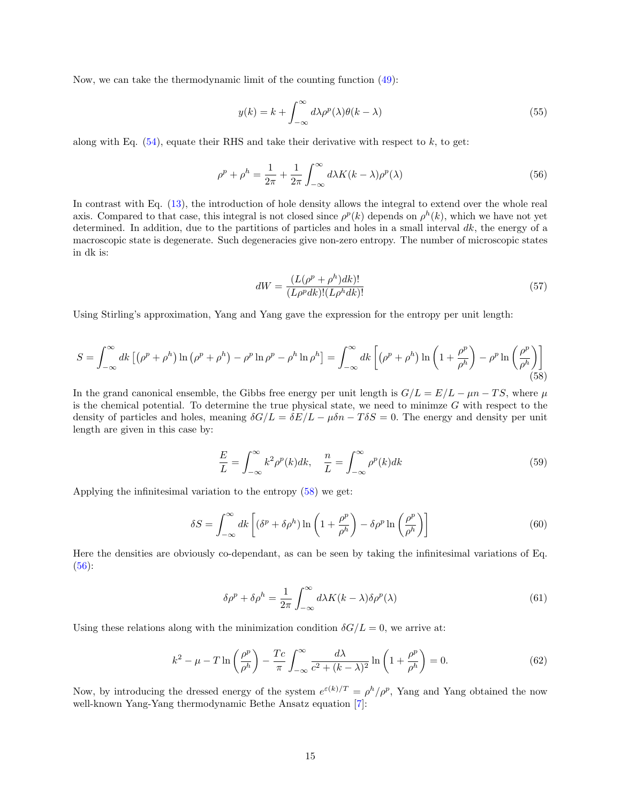Now, we can take the thermodynamic limit of the counting function [\(49\)](#page-13-1):

$$
y(k) = k + \int_{-\infty}^{\infty} d\lambda \rho^p(\lambda) \theta(k - \lambda)
$$
\n(55)

along with Eq.  $(54)$ , equate their RHS and take their derivative with respect to k, to get:

<span id="page-14-1"></span>
$$
\rho^p + \rho^h = \frac{1}{2\pi} + \frac{1}{2\pi} \int_{-\infty}^{\infty} d\lambda K(k - \lambda) \rho^p(\lambda)
$$
\n(56)

In contrast with Eq. [\(13\)](#page-4-2), the introduction of hole density allows the integral to extend over the whole real axis. Compared to that case, this integral is not closed since  $\rho^p(k)$  depends on  $\rho^h(k)$ , which we have not yet determined. In addition, due to the partitions of particles and holes in a small interval  $dk$ , the energy of a macroscopic state is degenerate. Such degeneracies give non-zero entropy. The number of microscopic states in dk is:

$$
dW = \frac{(L(\rho^p + \rho^h)dk)!}{(L\rho^p dk)!(L\rho^h dk)!}
$$
\n(57)

Using Stirling's approximation, Yang and Yang gave the expression for the entropy per unit length:

<span id="page-14-0"></span>
$$
S = \int_{-\infty}^{\infty} dk \left[ \left( \rho^p + \rho^h \right) \ln \left( \rho^p + \rho^h \right) - \rho^p \ln \rho^p - \rho^h \ln \rho^h \right] = \int_{-\infty}^{\infty} dk \left[ \left( \rho^p + \rho^h \right) \ln \left( 1 + \frac{\rho^p}{\rho^h} \right) - \rho^p \ln \left( \frac{\rho^p}{\rho^h} \right) \right] \tag{58}
$$

In the grand canonical ensemble, the Gibbs free energy per unit length is  $G/L = E/L - \mu n - TS$ , where  $\mu$ is the chemical potential. To determine the true physical state, we need to minimze  $G$  with respect to the density of particles and holes, meaning  $\delta G/L = \delta E/L - \mu \delta n - T \delta S = 0$ . The energy and density per unit length are given in this case by:

$$
\frac{E}{L} = \int_{-\infty}^{\infty} k^2 \rho^p(k) dk, \quad \frac{n}{L} = \int_{-\infty}^{\infty} \rho^p(k) dk
$$
\n(59)

Applying the infinitesimal variation to the entropy [\(58\)](#page-14-0) we get:

$$
\delta S = \int_{-\infty}^{\infty} dk \left[ (\delta^p + \delta \rho^h) \ln \left( 1 + \frac{\rho^p}{\rho^h} \right) - \delta \rho^p \ln \left( \frac{\rho^p}{\rho^h} \right) \right]
$$
(60)

Here the densities are obviously co-dependant, as can be seen by taking the infinitesimal variations of Eq.  $(56)$ :

$$
\delta \rho^p + \delta \rho^h = \frac{1}{2\pi} \int_{-\infty}^{\infty} d\lambda K(k - \lambda) \delta \rho^p(\lambda)
$$
\n(61)

Using these relations along with the minimization condition  $\delta G/L = 0$ , we arrive at:

$$
k^2 - \mu - T \ln \left( \frac{\rho^p}{\rho^h} \right) - \frac{Tc}{\pi} \int_{-\infty}^{\infty} \frac{d\lambda}{c^2 + (k - \lambda)^2} \ln \left( 1 + \frac{\rho^p}{\rho^h} \right) = 0.
$$
 (62)

Now, by introducing the dressed energy of the system  $e^{\varepsilon(k)/T} = \rho^h/\rho^p$ , Yang and Yang obtained the now well-known Yang-Yang thermodynamic Bethe Ansatz equation [\[7\]](#page-30-6):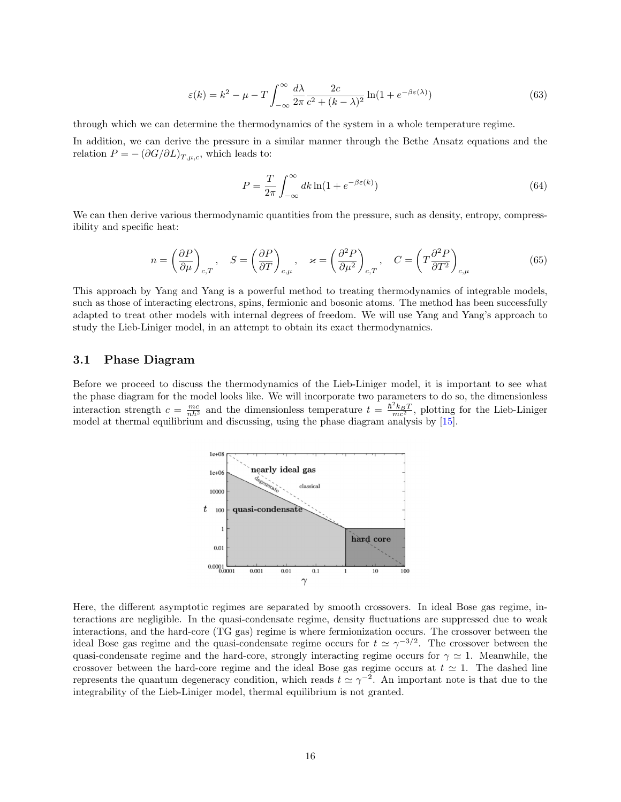<span id="page-15-1"></span>
$$
\varepsilon(k) = k^2 - \mu - T \int_{-\infty}^{\infty} \frac{d\lambda}{2\pi} \frac{2c}{c^2 + (k - \lambda)^2} \ln(1 + e^{-\beta \varepsilon(\lambda)})
$$
(63)

through which we can determine the thermodynamics of the system in a whole temperature regime.

In addition, we can derive the pressure in a similar manner through the Bethe Ansatz equations and the relation  $P = -(\partial G/\partial L)_{T,\mu,c}$ , which leads to:

$$
P = \frac{T}{2\pi} \int_{-\infty}^{\infty} dk \ln(1 + e^{-\beta \varepsilon(k)})
$$
\n(64)

We can then derive various thermodynamic quantities from the pressure, such as density, entropy, compressibility and specific heat:

$$
n = \left(\frac{\partial P}{\partial \mu}\right)_{c,T}, \quad S = \left(\frac{\partial P}{\partial T}\right)_{c,\mu}, \quad \varkappa = \left(\frac{\partial^2 P}{\partial \mu^2}\right)_{c,T}, \quad C = \left(T\frac{\partial^2 P}{\partial T^2}\right)_{c,\mu}
$$
(65)

This approach by Yang and Yang is a powerful method to treating thermodynamics of integrable models, such as those of interacting electrons, spins, fermionic and bosonic atoms. The method has been successfully adapted to treat other models with internal degrees of freedom. We will use Yang and Yang's approach to study the Lieb-Liniger model, in an attempt to obtain its exact thermodynamics.

#### <span id="page-15-0"></span>3.1 Phase Diagram

Before we proceed to discuss the thermodynamics of the Lieb-Liniger model, it is important to see what the phase diagram for the model looks like. We will incorporate two parameters to do so, the dimensionless interaction strength  $c = \frac{mc}{nh^2}$  and the dimensionless temperature  $t = \frac{h^2 k_B T}{mc^2}$ , plotting for the Lieb-Liniger model at thermal equilibrium and discussing, using the phase diagram analysis by [\[15\]](#page-30-14).



Here, the different asymptotic regimes are separated by smooth crossovers. In ideal Bose gas regime, interactions are negligible. In the quasi-condensate regime, density fluctuations are suppressed due to weak interactions, and the hard-core (TG gas) regime is where fermionization occurs. The crossover between the ideal Bose gas regime and the quasi-condensate regime occurs for  $t \approx \gamma^{-3/2}$ . The crossover between the quasi-condensate regime and the hard-core, strongly interacting regime occurs for  $\gamma \simeq 1$ . Meanwhile, the crossover between the hard-core regime and the ideal Bose gas regime occurs at  $t \approx 1$ . The dashed line represents the quantum degeneracy condition, which reads  $t \approx \gamma^{-2}$ . An important note is that due to the integrability of the Lieb-Liniger model, thermal equilibrium is not granted.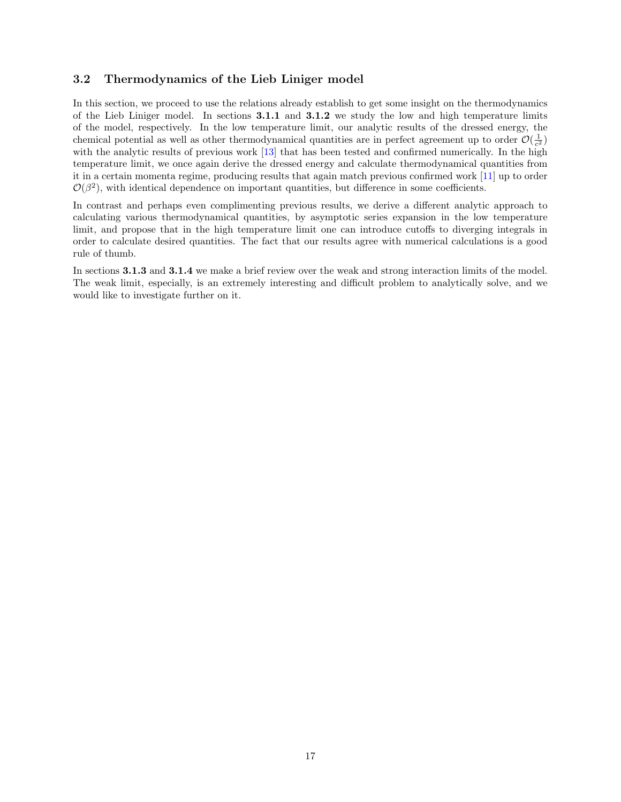#### <span id="page-16-0"></span>3.2 Thermodynamics of the Lieb Liniger model

In this section, we proceed to use the relations already establish to get some insight on the thermodynamics of the Lieb Liniger model. In sections 3.1.1 and 3.1.2 we study the low and high temperature limits of the model, respectively. In the low temperature limit, our analytic results of the dressed energy, the chemical potential as well as other thermodynamical quantities are in perfect agreement up to order  $\mathcal{O}(\frac{1}{c^2})$ with the analytic results of previous work [\[13\]](#page-30-12) that has been tested and confirmed numerically. In the high temperature limit, we once again derive the dressed energy and calculate thermodynamical quantities from it in a certain momenta regime, producing results that again match previous confirmed work [\[11\]](#page-30-10) up to order  $\mathcal{O}(\beta^2)$ , with identical dependence on important quantities, but difference in some coefficients.

In contrast and perhaps even complimenting previous results, we derive a different analytic approach to calculating various thermodynamical quantities, by asymptotic series expansion in the low temperature limit, and propose that in the high temperature limit one can introduce cutoffs to diverging integrals in order to calculate desired quantities. The fact that our results agree with numerical calculations is a good rule of thumb.

In sections 3.1.3 and 3.1.4 we make a brief review over the weak and strong interaction limits of the model. The weak limit, especially, is an extremely interesting and difficult problem to analytically solve, and we would like to investigate further on it.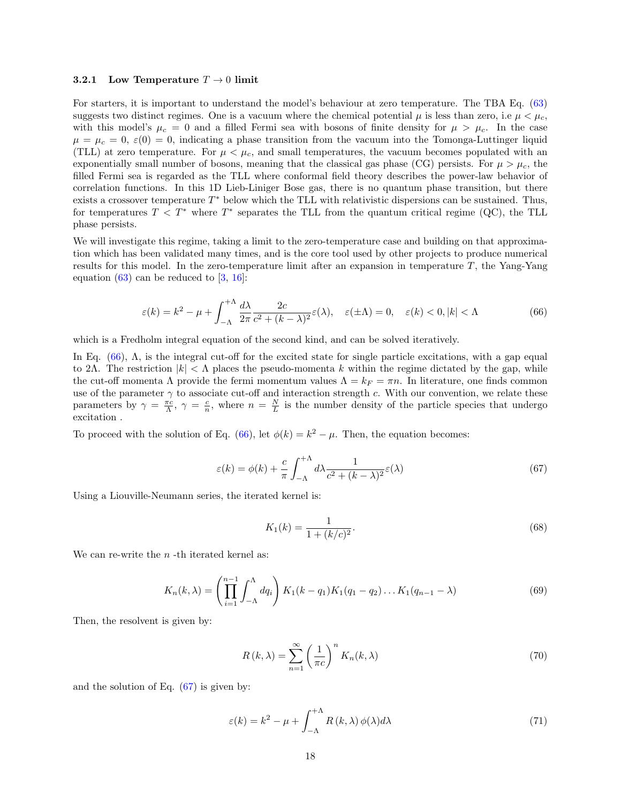#### <span id="page-17-0"></span>3.2.1 Low Temperature  $T \to 0$  limit

For starters, it is important to understand the model's behaviour at zero temperature. The TBA Eq. [\(63\)](#page-15-1) suggests two distinct regimes. One is a vacuum where the chemical potential  $\mu$  is less than zero, i.e  $\mu < \mu_c$ , with this model's  $\mu_c = 0$  and a filled Fermi sea with bosons of finite density for  $\mu > \mu_c$ . In the case  $\mu = \mu_c = 0$ ,  $\varepsilon(0) = 0$ , indicating a phase transition from the vacuum into the Tomonga-Luttinger liquid (TLL) at zero temperature. For  $\mu < \mu_c$ , and small temperatures, the vacuum becomes populated with an exponentially small number of bosons, meaning that the classical gas phase (CG) persists. For  $\mu > \mu_c$ , the filled Fermi sea is regarded as the TLL where conformal field theory describes the power-law behavior of correlation functions. In this 1D Lieb-Liniger Bose gas, there is no quantum phase transition, but there exists a crossover temperature  $T^*$  below which the TLL with relativistic dispersions can be sustained. Thus, for temperatures  $T < T^*$  where  $T^*$  separates the TLL from the quantum critical regime (QC), the TLL phase persists.

We will investigate this regime, taking a limit to the zero-temperature case and building on that approximation which has been validated many times, and is the core tool used by other projects to produce numerical results for this model. In the zero-temperature limit after an expansion in temperature  $T$ , the Yang-Yang equation  $(63)$  can be reduced to  $[3, 16]$  $[3, 16]$  $[3, 16]$ :

<span id="page-17-1"></span>
$$
\varepsilon(k) = k^2 - \mu + \int_{-\Lambda}^{+\Lambda} \frac{d\lambda}{2\pi} \frac{2c}{c^2 + (k - \lambda)^2} \varepsilon(\lambda), \quad \varepsilon(\pm \Lambda) = 0, \quad \varepsilon(k) < 0, |k| < \Lambda \tag{66}
$$

which is a Fredholm integral equation of the second kind, and can be solved iteratively.

In Eq.  $(66)$ ,  $\Lambda$ , is the integral cut-off for the excited state for single particle excitations, with a gap equal to 2Λ. The restriction  $|k| < \Lambda$  places the pseudo-momenta k within the regime dictated by the gap, while the cut-off momenta Λ provide the fermi momentum values  $\Lambda = k_F = \pi n$ . In literature, one finds common use of the parameter  $\gamma$  to associate cut-off and interaction strength c. With our convention, we relate these parameters by  $\gamma = \frac{\pi c}{\Lambda}$ ,  $\gamma = \frac{c}{n}$ , where  $n = \frac{N}{L}$  is the number density of the particle species that undergo excitation .

To proceed with the solution of Eq. [\(66\)](#page-17-1), let  $\phi(k) = k^2 - \mu$ . Then, the equation becomes:

<span id="page-17-2"></span>
$$
\varepsilon(k) = \phi(k) + \frac{c}{\pi} \int_{-\Lambda}^{+\Lambda} d\lambda \frac{1}{c^2 + (k - \lambda)^2} \varepsilon(\lambda)
$$
 (67)

Using a Liouville-Neumann series, the iterated kernel is:

<span id="page-17-3"></span>
$$
K_1(k) = \frac{1}{1 + (k/c)^2}.
$$
\n(68)

We can re-write the  $n$ -th iterated kernel as:

$$
K_n(k,\lambda) = \left(\prod_{i=1}^{n-1} \int_{-\Lambda}^{\Lambda} dq_i\right) K_1(k-q_1) K_1(q_1-q_2) \dots K_1(q_{n-1}-\lambda)
$$
\n(69)

Then, the resolvent is given by:

<span id="page-17-4"></span>
$$
R(k,\lambda) = \sum_{n=1}^{\infty} \left(\frac{1}{\pi c}\right)^n K_n(k,\lambda)
$$
\n(70)

and the solution of Eq.  $(67)$  is given by:

$$
\varepsilon(k) = k^2 - \mu + \int_{-\Lambda}^{+\Lambda} R(k,\lambda) \phi(\lambda) d\lambda \tag{71}
$$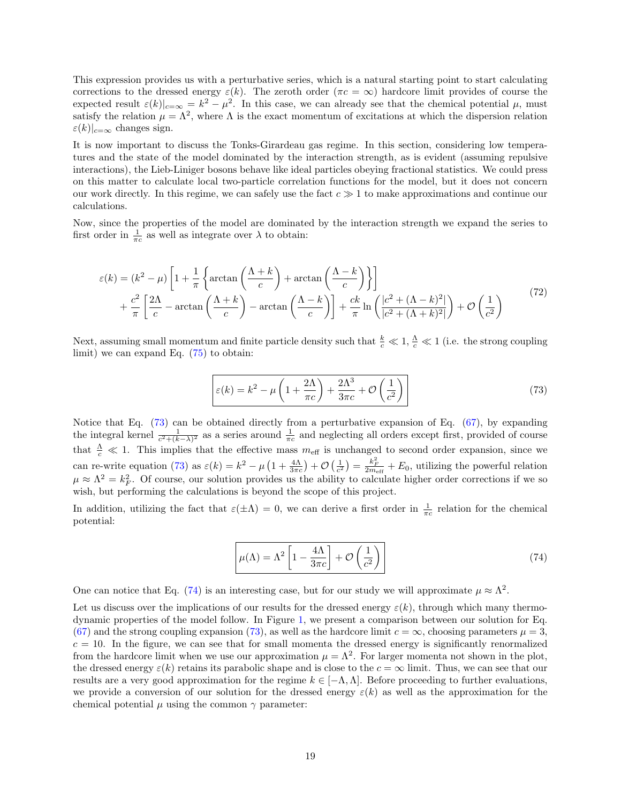This expression provides us with a perturbative series, which is a natural starting point to start calculating corrections to the dressed energy  $\varepsilon(k)$ . The zeroth order  $(\pi c = \infty)$  hardcore limit provides of course the expected result  $\varepsilon(k)|_{c=\infty} = k^2 - \mu^2$ . In this case, we can already see that the chemical potential  $\mu$ , must satisfy the relation  $\mu = \Lambda^2$ , where  $\Lambda$  is the exact momentum of excitations at which the dispersion relation  $\varepsilon(k)|_{c=\infty}$  changes sign.

It is now important to discuss the Tonks-Girardeau gas regime. In this section, considering low temperatures and the state of the model dominated by the interaction strength, as is evident (assuming repulsive interactions), the Lieb-Liniger bosons behave like ideal particles obeying fractional statistics. We could press on this matter to calculate local two-particle correlation functions for the model, but it does not concern our work directly. In this regime, we can safely use the fact  $c \gg 1$  to make approximations and continue our calculations.

Now, since the properties of the model are dominated by the interaction strength we expand the series to first order in  $\frac{1}{\pi c}$  as well as integrate over  $\lambda$  to obtain:

<span id="page-18-2"></span>
$$
\varepsilon(k) = (k^2 - \mu) \left[ 1 + \frac{1}{\pi} \left\{ \arctan\left(\frac{\Lambda + k}{c}\right) + \arctan\left(\frac{\Lambda - k}{c}\right) \right\} \right] + \frac{c^2}{\pi} \left[ \frac{2\Lambda}{c} - \arctan\left(\frac{\Lambda + k}{c}\right) - \arctan\left(\frac{\Lambda - k}{c}\right) \right] + \frac{ck}{\pi} \ln\left(\frac{|c^2 + (\Lambda - k)^2|}{|c^2 + (\Lambda + k)^2|}\right) + \mathcal{O}\left(\frac{1}{c^2}\right)
$$
\n(72)

Next, assuming small momentum and finite particle density such that  $\frac{k}{c} \ll 1$ ,  $\frac{\Lambda}{c} \ll 1$  (i.e. the strong coupling limit) we can expand Eq. [\(75\)](#page-19-0) to obtain:

<span id="page-18-0"></span>
$$
\varepsilon(k) = k^2 - \mu \left( 1 + \frac{2\Lambda}{\pi c} \right) + \frac{2\Lambda^3}{3\pi c} + \mathcal{O}\left(\frac{1}{c^2}\right)
$$
\n(73)

Notice that Eq. [\(73\)](#page-18-0) can be obtained directly from a perturbative expansion of Eq. [\(67\)](#page-17-2), by expanding the integral kernel  $\frac{1}{c^2 + (k-\lambda)^2}$  as a series around  $\frac{1}{\pi c}$  and neglecting all orders except first, provided of course that  $\frac{\Lambda}{c} \ll 1$ . This implies that the effective mass  $m_{\text{eff}}$  is unchanged to second order expansion, since we can re-write equation [\(73\)](#page-18-0) as  $\varepsilon(k) = k^2 - \mu \left(1 + \frac{4\Lambda}{3\pi c}\right) + \mathcal{O}\left(\frac{1}{c^2}\right) = \frac{k_F^2}{2m_{\text{eff}}} + E_0$ , utilizing the powerful relation  $\mu \approx \Lambda^2 = k_F^2$ . Of course, our solution provides us the ability to calculate higher order corrections if we so wish, but performing the calculations is beyond the scope of this project.

In addition, utilizing the fact that  $\varepsilon(\pm\Lambda) = 0$ , we can derive a first order in  $\frac{1}{\pi c}$  relation for the chemical potential:

<span id="page-18-1"></span>
$$
\mu(\Lambda) = \Lambda^2 \left[ 1 - \frac{4\Lambda}{3\pi c} \right] + \mathcal{O}\left(\frac{1}{c^2}\right) \tag{74}
$$

One can notice that Eq. [\(74\)](#page-18-1) is an interesting case, but for our study we will approximate  $\mu \approx \Lambda^2$ .

Let us discuss over the implications of our results for the dressed energy  $\varepsilon(k)$ , through which many thermodynamic properties of the model follow. In Figure [1,](#page-7-1) we present a comparison between our solution for Eq. [\(67\)](#page-17-2) and the strong coupling expansion [\(73\)](#page-18-0), as well as the hardcore limit  $c = \infty$ , choosing parameters  $\mu = 3$ ,  $c = 10$ . In the figure, we can see that for small momenta the dressed energy is significantly renormalized from the hardcore limit when we use our approximation  $\mu = \Lambda^2$ . For larger momenta not shown in the plot, the dressed energy  $\varepsilon(k)$  retains its parabolic shape and is close to the  $c = \infty$  limit. Thus, we can see that our results are a very good approximation for the regime  $k \in [-\Lambda, \Lambda]$ . Before proceeding to further evaluations, we provide a conversion of our solution for the dressed energy  $\varepsilon(k)$  as well as the approximation for the chemical potential  $\mu$  using the common  $\gamma$  parameter: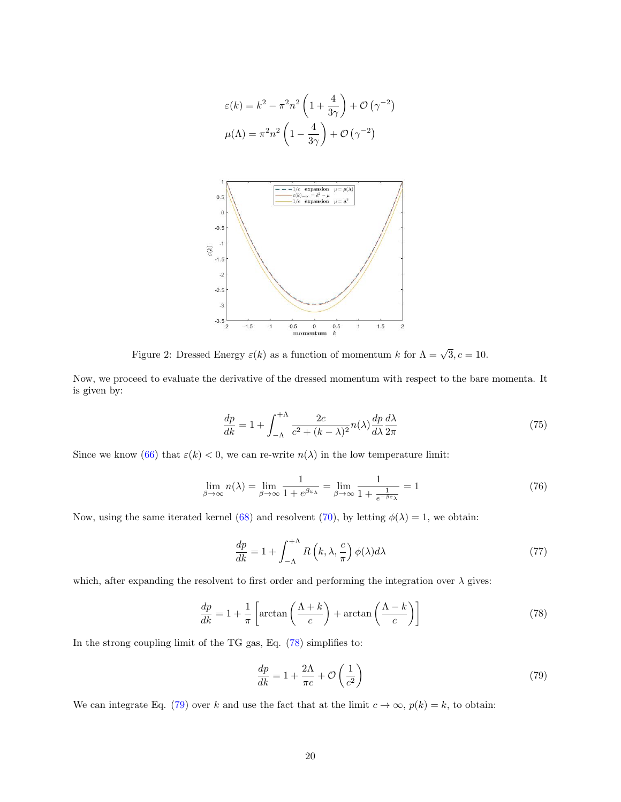$$
\varepsilon(k) = k^2 - \pi^2 n^2 \left( 1 + \frac{4}{3\gamma} \right) + \mathcal{O}(\gamma^{-2})
$$

$$
\mu(\Lambda) = \pi^2 n^2 \left( 1 - \frac{4}{3\gamma} \right) + \mathcal{O}(\gamma^{-2})
$$



Figure 2: Dressed Energy  $\varepsilon(k)$  as a function of momentum k for  $\Lambda = \sqrt{3}, c = 10$ .

Now, we proceed to evaluate the derivative of the dressed momentum with respect to the bare momenta. It is given by:

<span id="page-19-0"></span>
$$
\frac{dp}{dk} = 1 + \int_{-\Lambda}^{+\Lambda} \frac{2c}{c^2 + (k - \lambda)^2} n(\lambda) \frac{dp}{d\lambda} \frac{d\lambda}{2\pi}
$$
\n(75)

Since we know [\(66\)](#page-17-1) that  $\varepsilon(k) < 0$ , we can re-write  $n(\lambda)$  in the low temperature limit:

$$
\lim_{\beta \to \infty} n(\lambda) = \lim_{\beta \to \infty} \frac{1}{1 + e^{\beta \varepsilon_{\lambda}}} = \lim_{\beta \to \infty} \frac{1}{1 + \frac{1}{e^{-\beta \varepsilon_{\lambda}}}} = 1
$$
\n(76)

Now, using the same iterated kernel [\(68\)](#page-17-3) and resolvent [\(70\)](#page-17-4), by letting  $\phi(\lambda) = 1$ , we obtain:

$$
\frac{dp}{dk} = 1 + \int_{-\Lambda}^{+\Lambda} R\left(k, \lambda, \frac{c}{\pi}\right) \phi(\lambda) d\lambda \tag{77}
$$

which, after expanding the resolvent to first order and performing the integration over  $\lambda$  gives:

<span id="page-19-1"></span>
$$
\frac{dp}{dk} = 1 + \frac{1}{\pi} \left[ \arctan\left(\frac{\Lambda + k}{c}\right) + \arctan\left(\frac{\Lambda - k}{c}\right) \right] \tag{78}
$$

In the strong coupling limit of the TG gas, Eq. [\(78\)](#page-19-1) simplifies to:

<span id="page-19-2"></span>
$$
\frac{dp}{dk} = 1 + \frac{2\Lambda}{\pi c} + \mathcal{O}\left(\frac{1}{c^2}\right) \tag{79}
$$

We can integrate Eq. [\(79\)](#page-19-2) over k and use the fact that at the limit  $c \to \infty$ ,  $p(k) = k$ , to obtain: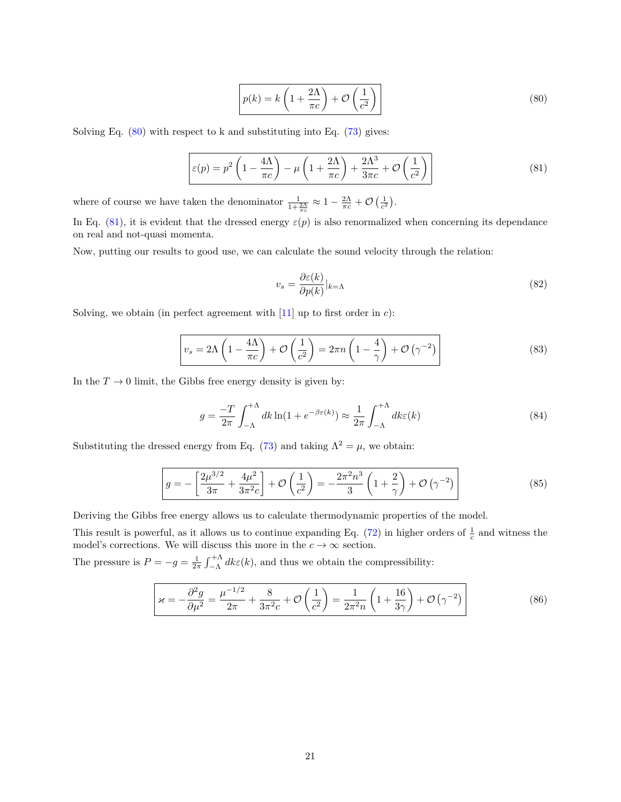<span id="page-20-0"></span>
$$
p(k) = k\left(1 + \frac{2\Lambda}{\pi c}\right) + \mathcal{O}\left(\frac{1}{c^2}\right)
$$
\n(80)

Solving Eq.  $(80)$  with respect to k and substituting into Eq.  $(73)$  gives:

<span id="page-20-1"></span>
$$
\varepsilon(p) = p^2 \left( 1 - \frac{4\Lambda}{\pi c} \right) - \mu \left( 1 + \frac{2\Lambda}{\pi c} \right) + \frac{2\Lambda^3}{3\pi c} + \mathcal{O}\left(\frac{1}{c^2}\right)
$$
\n(81)

where of course we have taken the denominator  $\frac{1}{1+\frac{2\Lambda}{\pi c}} \approx 1 - \frac{2\Lambda}{\pi c} + \mathcal{O}\left(\frac{1}{c^2}\right)$ .

In Eq. [\(81\)](#page-20-1), it is evident that the dressed energy  $\varepsilon(p)$  is also renormalized when concerning its dependance on real and not-quasi momenta.

Now, putting our results to good use, we can calculate the sound velocity through the relation:

<span id="page-20-2"></span>
$$
v_s = \frac{\partial \varepsilon(k)}{\partial p(k)}|_{k=\Lambda} \tag{82}
$$

Solving, we obtain (in perfect agreement with  $[11]$  up to first order in c):

$$
v_s = 2\Lambda \left(1 - \frac{4\Lambda}{\pi c}\right) + \mathcal{O}\left(\frac{1}{c^2}\right) = 2\pi n \left(1 - \frac{4}{\gamma}\right) + \mathcal{O}\left(\gamma^{-2}\right)
$$
\n(83)

In the  $T \to 0$  limit, the Gibbs free energy density is given by:

$$
g = \frac{-T}{2\pi} \int_{-\Lambda}^{+\Lambda} dk \ln(1 + e^{-\beta \varepsilon(k)}) \approx \frac{1}{2\pi} \int_{-\Lambda}^{+\Lambda} dk \varepsilon(k)
$$
 (84)

Substituting the dressed energy from Eq. [\(73\)](#page-18-0) and taking  $\Lambda^2 = \mu$ , we obtain:

$$
g = -\left[\frac{2\mu^{3/2}}{3\pi} + \frac{4\mu^2}{3\pi^2 c}\right] + \mathcal{O}\left(\frac{1}{c^2}\right) = -\frac{2\pi^2 n^3}{3} \left(1 + \frac{2}{\gamma}\right) + \mathcal{O}\left(\gamma^{-2}\right)
$$
\n(85)

Deriving the Gibbs free energy allows us to calculate thermodynamic properties of the model.

This result is powerful, as it allows us to continue expanding Eq.  $(72)$  in higher orders of  $\frac{1}{c}$  and witness the model's corrections. We will discuss this more in the  $c\to\infty$  section.

The pressure is  $P = -g = \frac{1}{2\pi} \int_{-\Lambda}^{+\Lambda} dk \varepsilon(k)$ , and thus we obtain the compressibility:

$$
\varkappa = -\frac{\partial^2 g}{\partial \mu^2} = \frac{\mu^{-1/2}}{2\pi} + \frac{8}{3\pi^2 c} + \mathcal{O}\left(\frac{1}{c^2}\right) = \frac{1}{2\pi^2 n} \left(1 + \frac{16}{3\gamma}\right) + \mathcal{O}\left(\gamma^{-2}\right)
$$
\n(86)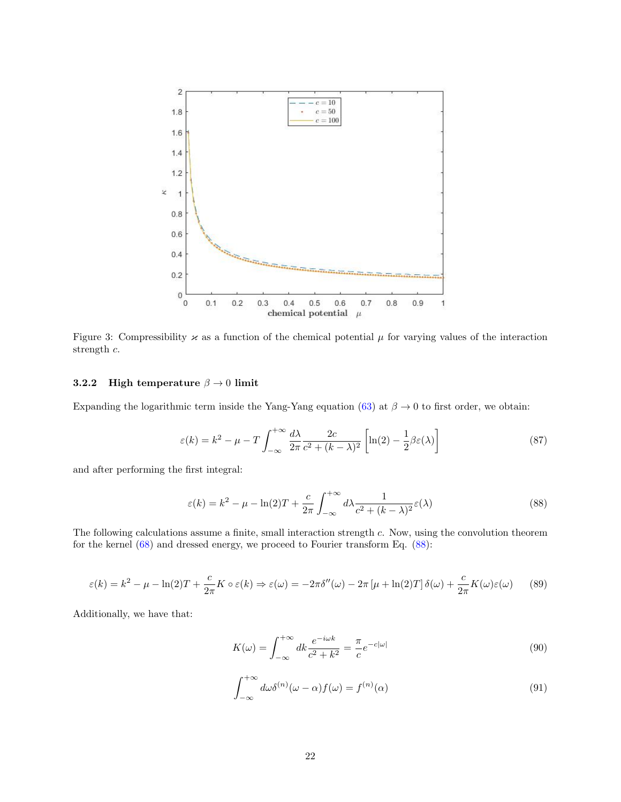

Figure 3: Compressibility  $\varkappa$  as a function of the chemical potential  $\mu$  for varying values of the interaction strength c.

#### <span id="page-21-0"></span>3.2.2 High temperature  $\beta \rightarrow 0$  limit

Expanding the logarithmic term inside the Yang-Yang equation [\(63\)](#page-15-1) at  $\beta \to 0$  to first order, we obtain:

$$
\varepsilon(k) = k^2 - \mu - T \int_{-\infty}^{+\infty} \frac{d\lambda}{2\pi} \frac{2c}{c^2 + (k - \lambda)^2} \left[ \ln(2) - \frac{1}{2} \beta \varepsilon(\lambda) \right]
$$
(87)

and after performing the first integral:

<span id="page-21-1"></span>
$$
\varepsilon(k) = k^2 - \mu - \ln(2)T + \frac{c}{2\pi} \int_{-\infty}^{+\infty} d\lambda \frac{1}{c^2 + (k - \lambda)^2} \varepsilon(\lambda)
$$
\n(88)

The following calculations assume a finite, small interaction strength c. Now, using the convolution theorem for the kernel [\(68\)](#page-17-3) and dressed energy, we proceed to Fourier transform Eq. [\(88\)](#page-21-1):

$$
\varepsilon(k) = k^2 - \mu - \ln(2)T + \frac{c}{2\pi}K \circ \varepsilon(k) \Rightarrow \varepsilon(\omega) = -2\pi\delta''(\omega) - 2\pi\left[\mu + \ln(2)T\right]\delta(\omega) + \frac{c}{2\pi}K(\omega)\varepsilon(\omega) \tag{89}
$$

Additionally, we have that:

$$
K(\omega) = \int_{-\infty}^{+\infty} dk \frac{e^{-i\omega k}}{c^2 + k^2} = \frac{\pi}{c} e^{-c|\omega|}
$$
\n(90)

$$
\int_{-\infty}^{+\infty} d\omega \delta^{(n)}(\omega - \alpha) f(\omega) = f^{(n)}(\alpha)
$$
\n(91)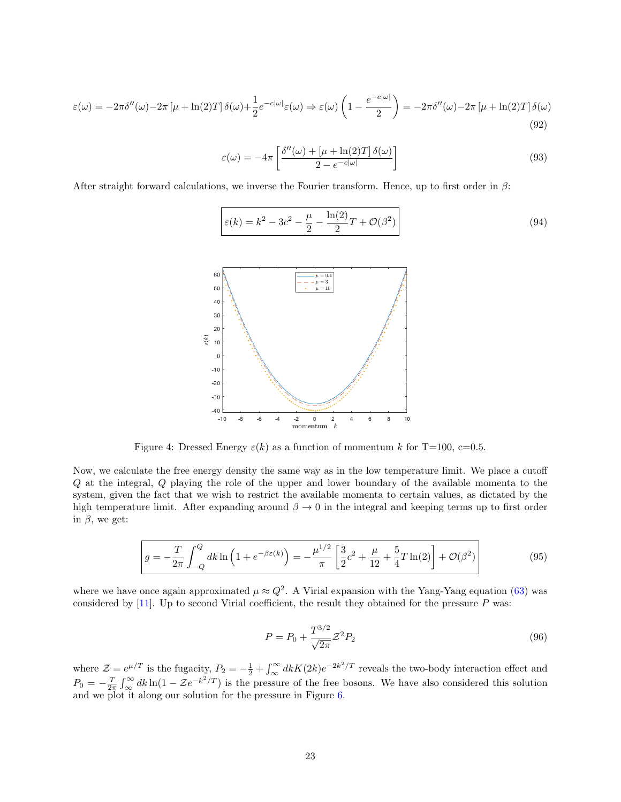$$
\varepsilon(\omega) = -2\pi\delta''(\omega) - 2\pi\left[\mu + \ln(2)T\right]\delta(\omega) + \frac{1}{2}e^{-c|\omega|}\varepsilon(\omega) \Rightarrow \varepsilon(\omega)\left(1 - \frac{e^{-c|\omega|}}{2}\right) = -2\pi\delta''(\omega) - 2\pi\left[\mu + \ln(2)T\right]\delta(\omega)
$$
\n(92)

$$
\varepsilon(\omega) = -4\pi \left[ \frac{\delta''(\omega) + [\mu + \ln(2)T] \,\delta(\omega)}{2 - e^{-c|\omega|}} \right] \tag{93}
$$

After straight forward calculations, we inverse the Fourier transform. Hence, up to first order in  $\beta$ :

$$
\varepsilon(k) = k^2 - 3c^2 - \frac{\mu}{2} - \frac{\ln(2)}{2}T + \mathcal{O}(\beta^2)
$$
\n(94)



Figure 4: Dressed Energy  $\varepsilon(k)$  as a function of momentum k for T=100, c=0.5.

Now, we calculate the free energy density the same way as in the low temperature limit. We place a cutoff Q at the integral, Q playing the role of the upper and lower boundary of the available momenta to the system, given the fact that we wish to restrict the available momenta to certain values, as dictated by the high temperature limit. After expanding around  $\beta \to 0$  in the integral and keeping terms up to first order in  $\beta$ , we get:

<span id="page-22-0"></span>
$$
g = -\frac{T}{2\pi} \int_{-Q}^{Q} dk \ln\left(1 + e^{-\beta \varepsilon(k)}\right) = -\frac{\mu^{1/2}}{\pi} \left[\frac{3}{2}c^2 + \frac{\mu}{12} + \frac{5}{4}T\ln(2)\right] + \mathcal{O}(\beta^2)
$$
(95)

where we have once again approximated  $\mu \approx Q^2$ . A Virial expansion with the Yang-Yang equation [\(63\)](#page-15-1) was considered by [\[11\]](#page-30-10). Up to second Virial coefficient, the result they obtained for the pressure  $P$  was:

$$
P = P_0 + \frac{T^{3/2}}{\sqrt{2\pi}} Z^2 P_2
$$
\n(96)

where  $\mathcal{Z} = e^{\mu/T}$  is the fugacity,  $P_2 = -\frac{1}{2} + \int_{\infty}^{\infty} dk K(2k)e^{-2k^2/T}$  reveals the two-body interaction effect and  $P_0 = -\frac{T}{2\pi} \int_{\infty}^{\infty} dk \ln(1 - \mathcal{Z}e^{-k^2/T})$  is the pressure of the free bosons. We have also considered this solution and we plot it along our solution for the pressure in Figure [6.](#page-23-0)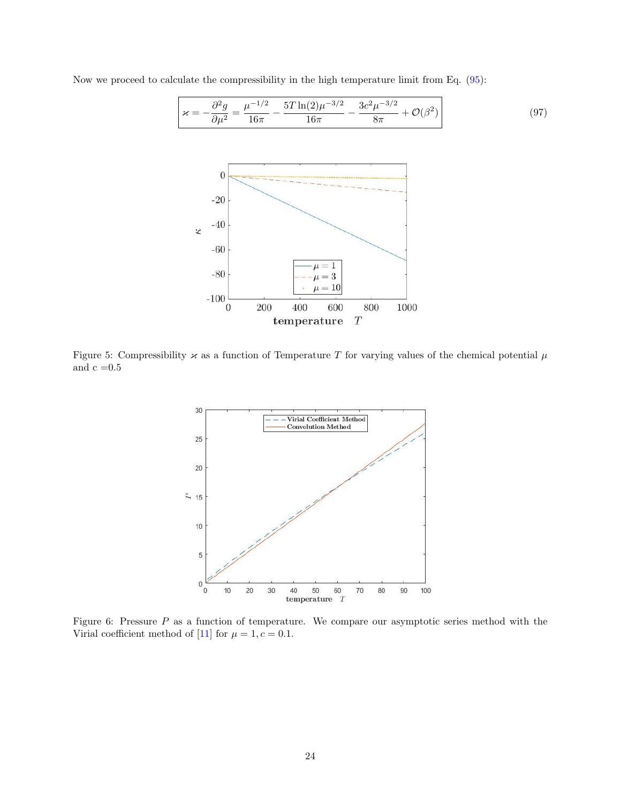

Now we proceed to calculate the compressibility in the high temperature limit from Eq. [\(95\)](#page-22-0):

<span id="page-23-0"></span>Figure 5: Compressibility  $\varkappa$  as a function of Temperature T for varying values of the chemical potential  $\mu$ and  $\rm c$  =0.5



Figure 6: Pressure P as a function of temperature. We compare our asymptotic series method with the Virial coefficient method of [\[11\]](#page-30-10) for  $\mu = 1, c = 0.1$ .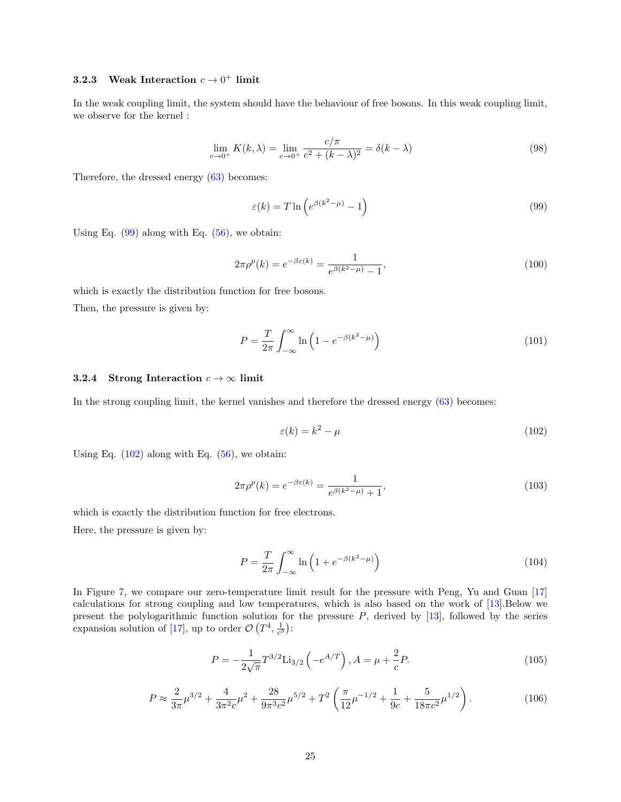#### <span id="page-24-0"></span>**3.2.3** Weak Interaction  $c \to 0^+$  limit

In the weak coupling limit, the system should have the behaviour of free bosons. In this weak coupling limit, we observe for the kernel :

$$
\lim_{c \to 0^+} K(k, \lambda) = \lim_{c \to 0^+} \frac{c/\pi}{c^2 + (k - \lambda)^2} = \delta(k - \lambda)
$$
\n(98)

Therefore, the dressed energy [\(63\)](#page-15-1) becomes:

<span id="page-24-2"></span>
$$
\varepsilon(k) = T \ln \left( e^{\beta(k^2 - \mu)} - 1 \right) \tag{99}
$$

Using Eq.  $(99)$  along with Eq.  $(56)$ , we obtain:

$$
2\pi \rho^p(k) = e^{-\beta \varepsilon(k)} = \frac{1}{e^{\beta(k^2 - \mu)} - 1},
$$
\n(100)

which is exactly the distribution function for free bosons. Then, the pressure is given by:

<span id="page-24-4"></span>
$$
P = \frac{T}{2\pi} \int_{-\infty}^{\infty} \ln\left(1 - e^{-\beta(k^2 - \mu)}\right) \tag{101}
$$

#### <span id="page-24-1"></span>3.2.4 Strong Interaction  $c \to \infty$  limit

In the strong coupling limit, the kernel vanishes and therefore the dressed energy [\(63\)](#page-15-1) becomes:

<span id="page-24-3"></span>
$$
\varepsilon(k) = k^2 - \mu \tag{102}
$$

Using Eq.  $(102)$  along with Eq.  $(56)$ , we obtain:

$$
2\pi \rho^p(k) = e^{-\beta \varepsilon(k)} = \frac{1}{e^{\beta(k^2 - \mu)} + 1},
$$
\n(103)

which is exactly the distribution function for free electrons.

Here, the pressure is given by:

$$
P = \frac{T}{2\pi} \int_{-\infty}^{\infty} \ln\left(1 + e^{-\beta(k^2 - \mu)}\right) \tag{104}
$$

In Figure [7,](#page-25-0) we compare our zero-temperature limit result for the pressure with Peng, Yu and Guan [\[17\]](#page-30-16) calculations for strong coupling and low temperatures, which is also based on the work of [\[13\]](#page-30-12).Below we present the polylogarithmic function solution for the pressure  $P$ , derived by [\[13\]](#page-30-12), followed by the series expansion solution of [\[17\]](#page-30-16), up to order  $\mathcal{O}(T^4, \frac{1}{c^3})$ :

$$
P = -\frac{1}{2\sqrt{\pi}} T^{3/2} \text{Li}_{3/2} \left( -e^{A/T} \right), A = \mu + \frac{2}{c} P. \tag{105}
$$

$$
P \approx \frac{2}{3\pi} \mu^{3/2} + \frac{4}{3\pi^2 c} \mu^2 + \frac{28}{9\pi^3 c^2} \mu^{5/2} + T^2 \left(\frac{\pi}{12} \mu^{-1/2} + \frac{1}{9c} + \frac{5}{18\pi c^2} \mu^{1/2}\right). \tag{106}
$$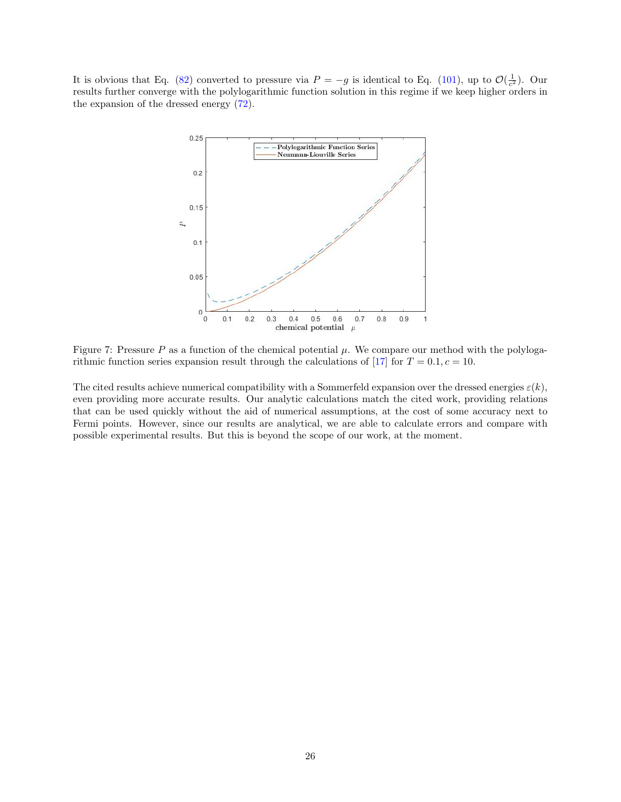<span id="page-25-0"></span>It is obvious that Eq. [\(82\)](#page-20-2) converted to pressure via  $P = -g$  is identical to Eq. [\(101\)](#page-24-4), up to  $\mathcal{O}(\frac{1}{c^2})$ . Our results further converge with the polylogarithmic function solution in this regime if we keep higher orders in the expansion of the dressed energy [\(72\)](#page-18-2).



Figure 7: Pressure P as a function of the chemical potential  $\mu$ . We compare our method with the polyloga-rithmic function series expansion result through the calculations of [\[17\]](#page-30-16) for  $T = 0.1, c = 10$ .

The cited results achieve numerical compatibility with a Sommerfeld expansion over the dressed energies  $\varepsilon(k)$ , even providing more accurate results. Our analytic calculations match the cited work, providing relations that can be used quickly without the aid of numerical assumptions, at the cost of some accuracy next to Fermi points. However, since our results are analytical, we are able to calculate errors and compare with possible experimental results. But this is beyond the scope of our work, at the moment.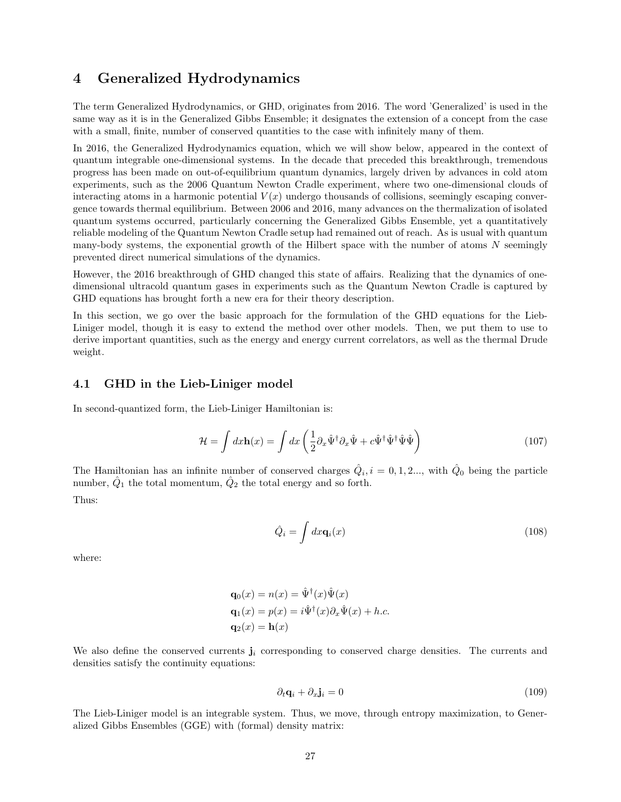## <span id="page-26-0"></span>4 Generalized Hydrodynamics

The term Generalized Hydrodynamics, or GHD, originates from 2016. The word 'Generalized' is used in the same way as it is in the Generalized Gibbs Ensemble; it designates the extension of a concept from the case with a small, finite, number of conserved quantities to the case with infinitely many of them.

In 2016, the Generalized Hydrodynamics equation, which we will show below, appeared in the context of quantum integrable one-dimensional systems. In the decade that preceded this breakthrough, tremendous progress has been made on out-of-equilibrium quantum dynamics, largely driven by advances in cold atom experiments, such as the 2006 Quantum Newton Cradle experiment, where two one-dimensional clouds of interacting atoms in a harmonic potential  $V(x)$  undergo thousands of collisions, seemingly escaping convergence towards thermal equilibrium. Between 2006 and 2016, many advances on the thermalization of isolated quantum systems occurred, particularly concerning the Generalized Gibbs Ensemble, yet a quantitatively reliable modeling of the Quantum Newton Cradle setup had remained out of reach. As is usual with quantum many-body systems, the exponential growth of the Hilbert space with the number of atoms  $N$  seemingly prevented direct numerical simulations of the dynamics.

However, the 2016 breakthrough of GHD changed this state of affairs. Realizing that the dynamics of onedimensional ultracold quantum gases in experiments such as the Quantum Newton Cradle is captured by GHD equations has brought forth a new era for their theory description.

In this section, we go over the basic approach for the formulation of the GHD equations for the Lieb-Liniger model, though it is easy to extend the method over other models. Then, we put them to use to derive important quantities, such as the energy and energy current correlators, as well as the thermal Drude weight.

#### <span id="page-26-1"></span>4.1 GHD in the Lieb-Liniger model

In second-quantized form, the Lieb-Liniger Hamiltonian is:

$$
\mathcal{H} = \int dx \mathbf{h}(x) = \int dx \left( \frac{1}{2} \partial_x \hat{\Psi}^\dagger \partial_x \hat{\Psi} + c \hat{\Psi}^\dagger \hat{\Psi}^\dagger \hat{\Psi} \hat{\Psi} \right)
$$
(107)

The Hamiltonian has an infinite number of conserved charges  $\hat{Q}_i$ ,  $i = 0, 1, 2...$ , with  $\hat{Q}_0$  being the particle number,  $\hat{Q}_1$  the total momentum,  $\hat{Q}_2$  the total energy and so forth. Thus:

$$
\hat{Q}_i = \int dx \mathbf{q}_i(x) \tag{108}
$$

where:

$$
\mathbf{q}_0(x) = n(x) = \hat{\Psi}^\dagger(x)\hat{\Psi}(x)
$$

$$
\mathbf{q}_1(x) = p(x) = i\hat{\Psi}^\dagger(x)\partial_x\hat{\Psi}(x) + h.c.
$$

$$
\mathbf{q}_2(x) = \mathbf{h}(x)
$$

We also define the conserved currents  $\mathbf{j}_i$  corresponding to conserved charge densities. The currents and densities satisfy the continuity equations:

<span id="page-26-2"></span>
$$
\partial_t \mathbf{q}_i + \partial_x \mathbf{j}_i = 0 \tag{109}
$$

The Lieb-Liniger model is an integrable system. Thus, we move, through entropy maximization, to Generalized Gibbs Ensembles (GGE) with (formal) density matrix: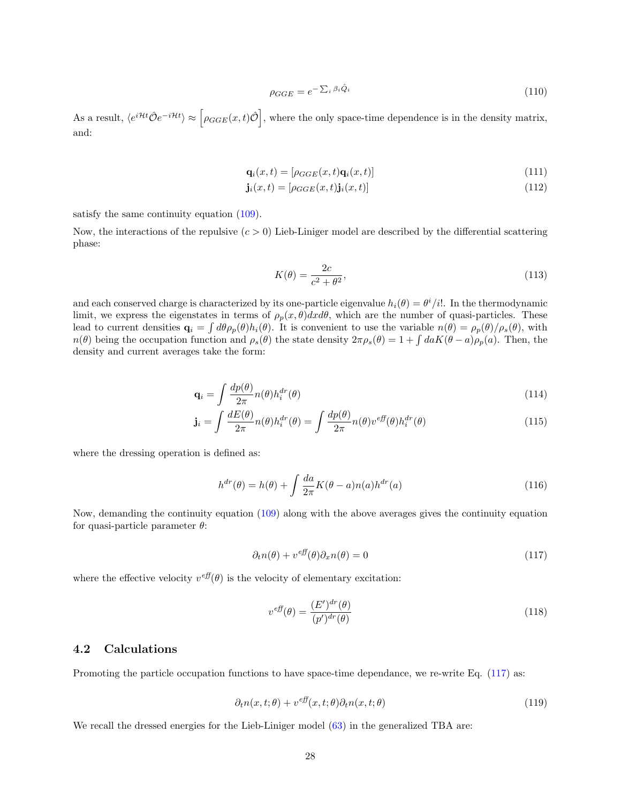$$
\rho_{GGE} = e^{-\sum_{i} \beta_i \hat{Q}_i} \tag{110}
$$

As a result,  $\langle e^{i\mathcal{H}t}\hat{\mathcal{O}}e^{-i\mathcal{H}t}\rangle \approx \left[\rho_{GGE}(x,t)\hat{\mathcal{O}}\right]$ , where the only space-time dependence is in the density matrix, and:

$$
\mathbf{q}_i(x,t) = [\rho_{GGE}(x,t)\mathbf{q}_i(x,t)] \tag{111}
$$

$$
\mathbf{j}_i(x,t) = [\rho_{GGE}(x,t)\mathbf{j}_i(x,t)]\tag{112}
$$

satisfy the same continuity equation [\(109\)](#page-26-2).

Now, the interactions of the repulsive  $(c > 0)$  Lieb-Liniger model are described by the differential scattering phase:

$$
K(\theta) = \frac{2c}{c^2 + \theta^2},\tag{113}
$$

and each conserved charge is characterized by its one-particle eigenvalue  $h_i(\theta) = \theta^i/i!$ . In the thermodynamic limit, we express the eigenstates in terms of  $\rho_p(x, \theta) dx d\theta$ , which are the number of quasi-particles. These lead to current densities  $\mathbf{q}_i = \int d\theta \rho_p(\theta) h_i(\theta)$ . It is convenient to use the variable  $n(\theta) = \rho_p(\theta) / \rho_s(\theta)$ , with  $n(\theta)$  being the occupation function and  $\rho_s(\theta)$  the state density  $2\pi \rho_s(\theta) = 1 + \int da K(\theta - a) \rho_p(a)$ . Then, the density and current averages take the form:

$$
\mathbf{q}_i = \int \frac{dp(\theta)}{2\pi} n(\theta) h_i^{dr}(\theta) \tag{114}
$$

$$
\mathbf{j}_{i} = \int \frac{dE(\theta)}{2\pi} n(\theta) h_{i}^{dr}(\theta) = \int \frac{dp(\theta)}{2\pi} n(\theta) v^{eff}(\theta) h_{i}^{dr}(\theta)
$$
\n(115)

where the dressing operation is defined as:

$$
h^{dr}(\theta) = h(\theta) + \int \frac{da}{2\pi} K(\theta - a) n(a) h^{dr}(a)
$$
\n(116)

Now, demanding the continuity equation [\(109\)](#page-26-2) along with the above averages gives the continuity equation for quasi-particle parameter  $\theta$ :

<span id="page-27-1"></span>
$$
\partial_t n(\theta) + v^{eff}(\theta)\partial_x n(\theta) = 0 \tag{117}
$$

where the effective velocity  $v^{eff}(\theta)$  is the velocity of elementary excitation:

$$
v^{eff}(\theta) = \frac{(E')^{dr}(\theta)}{(p')^{dr}(\theta)}
$$
\n(118)

#### <span id="page-27-0"></span>4.2 Calculations

Promoting the particle occupation functions to have space-time dependance, we re-write Eq. [\(117\)](#page-27-1) as:

<span id="page-27-2"></span>
$$
\partial_t n(x, t; \theta) + v^{eff}(x, t; \theta) \partial_t n(x, t; \theta)
$$
\n(119)

We recall the dressed energies for the Lieb-Liniger model  $(63)$  in the generalized TBA are: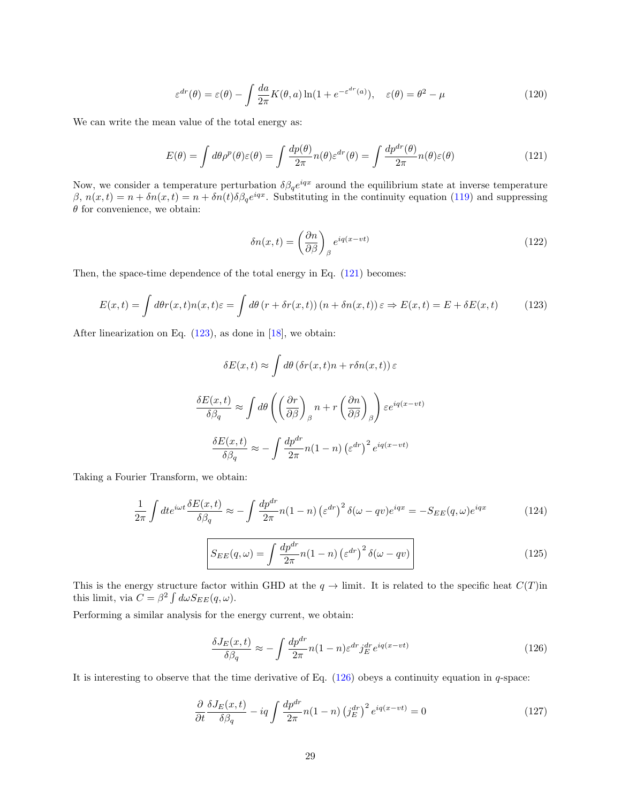$$
\varepsilon^{dr}(\theta) = \varepsilon(\theta) - \int \frac{da}{2\pi} K(\theta, a) \ln(1 + e^{-\varepsilon^{dr}(a)}), \quad \varepsilon(\theta) = \theta^2 - \mu
$$
\n(120)

We can write the mean value of the total energy as:

<span id="page-28-0"></span>
$$
E(\theta) = \int d\theta \rho^p(\theta) \varepsilon(\theta) = \int \frac{dp(\theta)}{2\pi} n(\theta) \varepsilon^{dr}(\theta) = \int \frac{dp^{dr}(\theta)}{2\pi} n(\theta) \varepsilon(\theta)
$$
(121)

Now, we consider a temperature perturbation  $\delta \beta_q e^{iqx}$  around the equilibrium state at inverse temperature β,  $n(x,t) = n + \delta n(x,t) = n + \delta n(t) \delta \beta_q e^{iqx}$ . Substituting in the continuity equation [\(119\)](#page-27-2) and suppressing  $\theta$  for convenience, we obtain:

$$
\delta n(x,t) = \left(\frac{\partial n}{\partial \beta}\right)_{\beta} e^{iq(x-vt)}\tag{122}
$$

Then, the space-time dependence of the total energy in Eq. [\(121\)](#page-28-0) becomes:

<span id="page-28-1"></span>
$$
E(x,t) = \int d\theta r(x,t)n(x,t)\varepsilon = \int d\theta (r + \delta r(x,t))(n + \delta n(x,t))\varepsilon \Rightarrow E(x,t) = E + \delta E(x,t)
$$
 (123)

After linearization on Eq. [\(123\)](#page-28-1), as done in [\[18\]](#page-30-17), we obtain:

$$
\delta E(x,t) \approx \int d\theta \left(\delta r(x,t)n + r\delta n(x,t)\right)\varepsilon
$$

$$
\frac{\delta E(x,t)}{\delta \beta_q} \approx \int d\theta \left(\left(\frac{\partial r}{\partial \beta}\right)_{\beta} n + r\left(\frac{\partial n}{\partial \beta}\right)_{\beta}\right) \varepsilon e^{iq(x-vt)}
$$

$$
\frac{\delta E(x,t)}{\delta \beta_q} \approx -\int \frac{dp^{dr}}{2\pi} n(1-n) \left(\varepsilon^{dr}\right)^2 e^{iq(x-vt)}
$$

Taking a Fourier Transform, we obtain:

$$
\frac{1}{2\pi} \int dt e^{i\omega t} \frac{\delta E(x,t)}{\delta \beta_q} \approx -\int \frac{dp^{dr}}{2\pi} n(1-n) \left(\varepsilon^{dr}\right)^2 \delta(\omega - qv) e^{iqx} = -S_{EE}(q,\omega) e^{iqx} \tag{124}
$$

$$
S_{EE}(q,\omega) = \int \frac{dp^{dr}}{2\pi} n(1-n) \left(\varepsilon^{dr}\right)^2 \delta(\omega - qv) \tag{125}
$$

This is the energy structure factor within GHD at the  $q \to$  limit. It is related to the specific heat  $C(T)$ in this limit, via  $C = \beta^2 \int d\omega S_{EE}(q,\omega)$ .

Performing a similar analysis for the energy current, we obtain:

<span id="page-28-2"></span>
$$
\frac{\delta J_E(x,t)}{\delta \beta_q} \approx -\int \frac{dp^{dr}}{2\pi} n(1-n)\varepsilon^{dr} j_E^{dr} e^{iq(x-vt)} \tag{126}
$$

It is interesting to observe that the time derivative of Eq.  $(126)$  obeys a continuity equation in q-space:

$$
\frac{\partial}{\partial t} \frac{\delta J_E(x,t)}{\delta \beta_q} - iq \int \frac{dp^{dr}}{2\pi} n(1-n) \left(j_E^{dr}\right)^2 e^{iq(x-vt)} = 0 \tag{127}
$$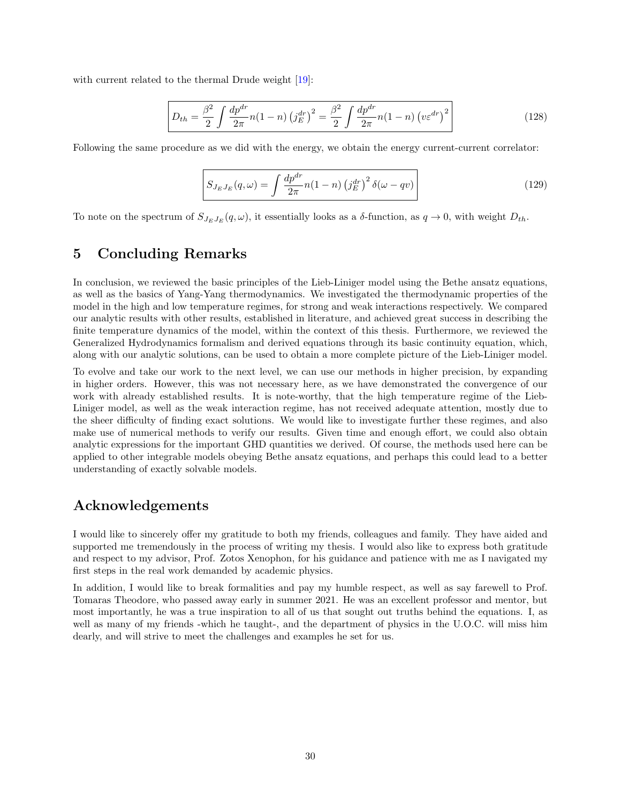with current related to the thermal Drude weight [\[19\]](#page-30-18):

$$
D_{th} = \frac{\beta^2}{2} \int \frac{dp^{dr}}{2\pi} n(1-n) (j_E^{dr})^2 = \frac{\beta^2}{2} \int \frac{dp^{dr}}{2\pi} n(1-n) (v_{\varepsilon}^{dr})^2
$$
 (128)

Following the same procedure as we did with the energy, we obtain the energy current-current correlator:

$$
S_{J_E J_E}(q,\omega) = \int \frac{dp^{dr}}{2\pi} n(1-n) \left(j_E^{dr}\right)^2 \delta(\omega - qv) \tag{129}
$$

To note on the spectrum of  $S_{J_EJ_E}(q,\omega)$ , it essentially looks as a  $\delta$ -function, as  $q \to 0$ , with weight  $D_{th}$ .

## <span id="page-29-0"></span>5 Concluding Remarks

In conclusion, we reviewed the basic principles of the Lieb-Liniger model using the Bethe ansatz equations, as well as the basics of Yang-Yang thermodynamics. We investigated the thermodynamic properties of the model in the high and low temperature regimes, for strong and weak interactions respectively. We compared our analytic results with other results, established in literature, and achieved great success in describing the finite temperature dynamics of the model, within the context of this thesis. Furthermore, we reviewed the Generalized Hydrodynamics formalism and derived equations through its basic continuity equation, which, along with our analytic solutions, can be used to obtain a more complete picture of the Lieb-Liniger model.

To evolve and take our work to the next level, we can use our methods in higher precision, by expanding in higher orders. However, this was not necessary here, as we have demonstrated the convergence of our work with already established results. It is note-worthy, that the high temperature regime of the Lieb-Liniger model, as well as the weak interaction regime, has not received adequate attention, mostly due to the sheer difficulty of finding exact solutions. We would like to investigate further these regimes, and also make use of numerical methods to verify our results. Given time and enough effort, we could also obtain analytic expressions for the important GHD quantities we derived. Of course, the methods used here can be applied to other integrable models obeying Bethe ansatz equations, and perhaps this could lead to a better understanding of exactly solvable models.

## Acknowledgements

I would like to sincerely offer my gratitude to both my friends, colleagues and family. They have aided and supported me tremendously in the process of writing my thesis. I would also like to express both gratitude and respect to my advisor, Prof. Zotos Xenophon, for his guidance and patience with me as I navigated my first steps in the real work demanded by academic physics.

In addition, I would like to break formalities and pay my humble respect, as well as say farewell to Prof. Tomaras Theodore, who passed away early in summer 2021. He was an excellent professor and mentor, but most importantly, he was a true inspiration to all of us that sought out truths behind the equations. I, as well as many of my friends -which he taught-, and the department of physics in the U.O.C. will miss him dearly, and will strive to meet the challenges and examples he set for us.